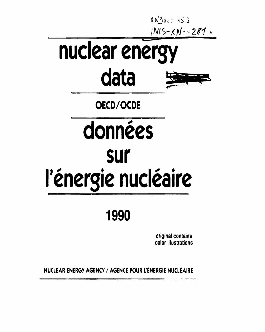

1990

original contains color illustrations

NUCLEAR ENERGY AGENCY / AGENCE POUR L'ÉNERGIE NUCLÉAIRE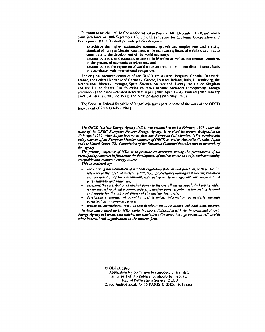**Pursuant to article 1 of the Convention signed in Paris on 14th December I960, and which came into force on 30th September 1961, the Organisation for Economic Co-operation and Development (OECD) shall promote policies designed:** 

- **to achieve the highest sustainable economic growth and employment and a rising standard of living in Member countries, while maintaining financial stability, and thus to contribute to the development of the world economy;**
- **to contribute to sound economic expansion in Member as well as non-member countries in the process of economic development; and**
- **to contribute to the expansion of world trade on a multilateral, non-discriminatory basis in accordance with international obligations.**

**The original Member countries of the OECD are Austria, Belgium, Canada, Denmark, France, the Federal Republic of Germany, Greece, Iceland, Ireland, Italy, Luxembourg, the Netherlands, Norway, Portugal, Spain, Sweden, Switzerland, Turkey, the United Kingdom ana the United States. The following countries became Members subsequently through accession at the dates indicated hereafter: Japan (28th April 1964), Finland (28th January 1969), Australia (7th June 1971) and New Zealand (29th May 1973).** 

**The Socialist Federal Republic of Yugoslavia takes part in some of the work of the OECD (agreement of 28th October 1961).** 

*The OECD Nuclear Energy Agency (NEA) was established on 1st February 1958 under the name of the OEEC European Nuclear Energy Agency. It received its present designation on 20th April 1972, when Japan became its first non-European full Member. NEA membership today consists of all European Member countries of OECD as well as Australia, Canada, Japan and the United States. The Commission of the European Communities takes part in the work of the Agency.* 

*The primary objective of NEA is to promote co-operation among the governments of its participating countries in furthering the development of nuclear power as a safe, environmentally acceptable and economic energy source.* 

*This is achieved by:* 

- *encouraging harmonisation of national regulatory policies and practices, with particular reference to the safety of nuclear installations, protection of man against ionising radiation and preservation of the environment, radioactive waste management, and nuclear third party liability and insurance;*
- *assessing the contribution of nuclear power to the overall energy supply by keeping under review the technical and economic aspects of nuclear power growth and forecasting demand and supply for the different phases of the nuclear fuel cycle;*
- developing exchanges of scientific and technical information particularly through *participation in common services;*
- *setting up international research and development programmes and joint undertakings.*

*In these and related tasks, NEA works in close collaboration with the International Atomic Energy Agency in Vienna, with which it has concluded a Co-operation Agreement, as well as with other international organisations in the nuclear field.* 

**© OECD, 1990** 

**Application for permission to reproduce or translate all or part of this publication should be made to: Head of Publications Service, OECD** 

**2, rue Andre-Pascal, 75775 PARIS CEDEX 16, France.**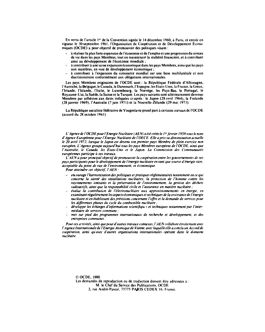En vertu de l'article l<sup>er</sup> de la Convention signée le 14 décembre 1960, à Paris, et entrée en **vigueur le 30 septembre 1961, l'Organisation de Coopération et de Développement Économiques (OCDE) a pour objectif de promouvoir des politiques visant :** 

- **à réaliser la plus forte expansion de l'économie et de l'emploi et une progression du niveau de vie dans les pays Membres, tout en maintenan» la stabilité financière, et à contribuer ainsi au développement de l'économie mondiale ;**
- **à contribuer à une saine expansion économique dans les pays Membres, ainsi que les pays non membres, en voie de développement économique ;**
- **à contribuer à l'expansion du commerce mondial sur une base multilatérale et non discriminatoire conformément aux obligations internationales.**

**Les pays Membres originaires de l'OCDE sont : la République Fédérale d'Allemagne, l'Autriche, la Belgique, le Canada, le Danemark, l'Espagne, les Etats-Unis, la France, la Grèce, l'Irlande, l'Islande, l'Italie, le Luxembourg, la Norvège, les Pays-Bas, le Portugal, le Royaume-Uni, la Suède, la Suisse et la Turquie. Les pays suivants sont ultérieurement devenus Membres par adhésion aux dates indiquées ci-après : le Japon (28 avril 1964), la Finlande (28 janvier 1969), l'Australie (7 juin 1971) et la Nouvelle-Zélande (29 mai 1973).** 

**La République socialiste federative de Yougoslavie prend part à certains travaux de l'OCDE (accord du 28 octobre 1961).** 

*L 'Agence de I'OCDE pour V Energie Nucleaire {AEN) a ete creee le I" fevrier 1958 sous le nam d 'Agence Europeenne pour I 'Energie Nucleaire de I 'OECE. Eile a pris sa denomination actuelle le 20 avril 1972. lorsque le Japon est devenu son premier pays Membre de plein exercice non europeen. L 'Agence groupe aujourd'hui tous les pays Membres europeens de I'OCDE. ainsi que I'Australie, le Canada, les Etats-Unis et le Japon. La Commission des Communautes europeennes participe a ses travaux.* 

*L 'AEN a pour principal objectif de promouvoir la cooperation entre les gouvernements de ses pays participants pour le developpement de I'inergie nucleaire en tant que source d'energie sure, acceptable du point de vue de I'environnement. et economique.* 

*Pour atteindre cet objectif. I'AEN:* 

- **-** *entourage I'harmonisation des politiques et pratiques reglementaires notamment en ce qui concern\* la surete des installations nucleaires, la protection de I'homme contre les raynnnements ionisants et la preservation de I'environnement. la geslion des deckels tadioactifs. ainsi que la responsabilite civile et /'assurance en matiere nucleaire ;*
- **-** *evalue la contribution de I'ilectronucleaire aux approvisionnemenls en energie, en examinant regulierement les aspects economiques et techniques de la croissance de I'energie nucleaire et en etablissant des previsions concernanl I'off re et la demande de services pour les differentes phases du cycle du combustible nucleaire ;*
- **-** *developpe les echanges d'informations scientiftqui* **>** *et techniques notamment par lintermediaire de services communs;*
- *met sur pied des programmes internationaux de recherche et developpement. et des enlreprises communes.*

*Pources a^tivites, ainsi que pour d'autres travaux connexes, I'AEN collabore etroitement avec iAgence Internationale de iEnergie Atomique de Vienne, avec laquelle elle a conclu un Accord de cooperation, ainsi qu'avec d'autres organisations inlernationales operant dans le domaine nucleaire.* 

**© OCDE. 1990**  Les demandes de reproduction ou de traduction doivent être adressées à : **M. le Chef du Service des Publications, OCDE 2, rue Andre-Pascal, 75775 PARIS CEDEX 16, France.**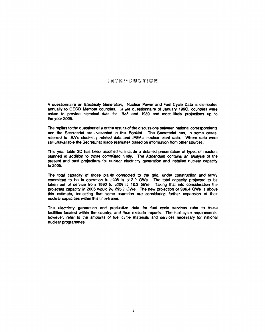# 5MTK^py©T0®i

A questionnaire on Electricity Generation, Nuclear Power and Fuel Cycle Data is distributed annually to OECD Member countries. In the questionnaire of January 1990, countries were asked to provide historical data for 1938 and 1989 and most likely projections up to the year 2005.

The replies to the question  $\mathbf{z} \cdot \mathbf{s}$  or the results of the discussions between national correspondents and the Secretariat are  $k$  semted in this Booklet. The Secretariat has, in some cases, referred to IEA's electric y related data and IAEA's nuclear plant data. Where data were still unavailable the Secretariat mado estimates based on information from other sources.

This year table 3D has bean modified to include a detailed presentation of types of reactors planned in addition to those committed figure. The Addendum contains an analysis of the present and past projections for nuclear electricity generation and installed nuclear capacity to 2005.

The total capacity of those plants connected to the grid, under construction and firm'y committed to be in operation in  $2035$  is 312.0 GWe. The total capacity projected to be taken out of service from 1990  $\approx$   $\textdegree$   $\textdegree$  16.3 GWe. Taking that into consideration the projected capacity in 2005 would i.v. 295.7 GWe. The new projection of 306.4 GWe is above this estimate, indicating that some exuntries are considering further expansion of their nuclear capacities within this time-frame.

The electricity generation and production data for fuel cycle services refer to these facilities located within the country, and thus exclude imports. The fuel cycle requirements, however, refer to the amounts of fuel eyrie materials and services necessary for national nuclear programmes.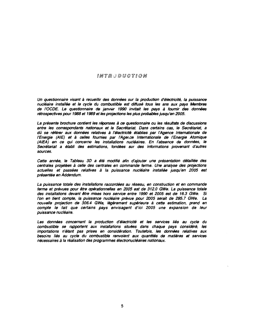# *ti(NI7®3®U©Ya@M*

Un questionnaire visant à recueillir des données sur la production d'électricité, la puissance nucléaire installée et le cycle du combustible est diffusé tous les ans aux pays Membres de l'OCDE. Le questionnaire de janvier 1990 invitait les pays à fournir des données retrospectives pour 1988 et 1989 et les projections les plus probables jusqu'en 2005.

La présente brochure contient les réponses à ce questionnaire ou les résultats de discussions entre les correspondants nationaux et le Secrétariat. Dans certains cas, le Secrétariat, a dû se référer aux données relatives à l'électricité établies par l'Agence Internationale de I'Energie (AIE) et a celles fournies par I'Agence Internationale de I'Energie Atomique (AIEA) en ce qui concerne les installations nucléaires. En l'absence de données, le Secrétariat a établi des estimations, fondées sur des informations provenant d'autres sources.

Cette année, le Tableau 3D a été modifié afin d'ajouter une présentation détaillée des centrales projetées à celle des centrales en commande ferme. Une analyse des projections actuelles et passées relatives à la puissance nucléaire installée jusqu'en 2005 est présentée en Addendum.

La puissance totale des installations raccordées au réseau, en construction et en commande ferme et prévues pour être opérationnelles en 2005 est de 312.0 GWe. La puissance totale des installations devant être mises hors service entre 1990 et 2005 est de 16.3 GWe. Si I'on en tient compte, la puissance nucleaire pr6vue pour 2005 serait de 295.7 GWe. La nouvelle projection de 306.4 GWe, légèrement supérieure à cette estimation, prend en compte le fait que certains pays envisagent d'ici 2005 une expansion de leur puissance nucléaire.

Les données concernant la production d'électricité et les services liés au cycle du combustible se rapportent aux installations situées dans chaque pays considéré, les importations n'étant pas prises en considération. Toutefois, les données relatives aux besoins liés au cycle du combustible renvoient aux quantités de matières et services nécessaires à la réalisation des programmes électronucléaires nationaux.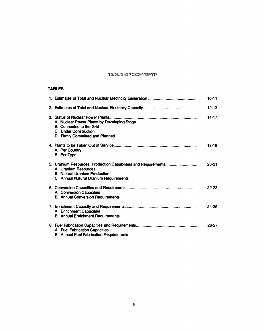# *l/hBLE* ©IF ©©(MTIOTB

# **TABLES**

|                                                                                                                                                                                 | $10 - 11$ |
|---------------------------------------------------------------------------------------------------------------------------------------------------------------------------------|-----------|
|                                                                                                                                                                                 | $12 - 13$ |
| 3. Status of Nuclear Power Plants<br>A. Nuclear Power Plants by Developing Stage<br><b>B.</b> Connected to the Grid<br>C. Under Construction<br>D. Firmly Committed and Planned | 14-17     |
| A. Per Country<br>B. Per Type                                                                                                                                                   | 18-19     |
| A. Uranium Resources<br><b>B. Natural Uranium Production</b><br>C. Annual Natural Uranium Requirements                                                                          | $20 - 21$ |
| A. Conversion Capacities<br><b>B. Annual Conversion Requirements</b>                                                                                                            | $22 - 23$ |
| A. Enrichment Capacities<br><b>B. Annual Enrichment Requirements</b>                                                                                                            | 24-25     |
| A. Fuel Fabrication Capacities<br>B. Annual Fuel Fabrication Requirements                                                                                                       | 26-27     |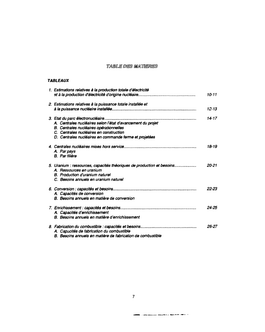# *miELH @(M§ Mmmm*

# **TABLEAUX**

| 1. Estimations relatives à la production totale d'électricité                                                                                                                                               | $10 - 11$ |
|-------------------------------------------------------------------------------------------------------------------------------------------------------------------------------------------------------------|-----------|
| 2. Estimations relatives à la puissance totale installée et                                                                                                                                                 | 12-13     |
| A. Centrales nucléaires selon l'état d'avancement du projet<br>B. Centrales nucléaires opérationnelles<br>C. Centrales nucléaires en construction<br>D. Centrales nucléaires en commande ferme et projetées | 14-17     |
| A. Par pays<br><b>B.</b> Par filière                                                                                                                                                                        | 18-19     |
| 5. Uranium : ressources, capacités théoriques de production et besoins<br>A. Ressources en uranium<br>B. Production d'uranium naturel<br>C. Besoins annuels en uranium naturel                              | $20 - 21$ |
| A. Capacités de conversion<br>B. Besoins annuels en matière de conversion                                                                                                                                   | $22 - 23$ |
| A. Capacités d'enrichissement<br>B. Besoins annuels en matière d'enrichissement                                                                                                                             | 24-25     |
| A. Capacités de fabrication du combustible<br>B. Besoins annuels en matière de fabrication de combustible                                                                                                   | $26 - 27$ |

 $\label{eq:3} \mathcal{L}_1 = \frac{\partial \mathcal{L}_1(\mathbf{q},\mathbf{q})}{\partial \mathbf{q}} + \frac{\partial \mathcal{L}_2(\mathbf{q},\mathbf{q})}{\partial \mathbf{q}} + \frac{\partial \mathcal{L}_3(\mathbf{q},\mathbf{q})}{\partial \mathbf{q}} + \frac{\partial \mathcal{L}_4(\mathbf{q},\mathbf{q})}{\partial \mathbf{q}} + \frac{\partial \mathcal{L}_5(\mathbf{q},\mathbf{q})}{\partial \mathbf{q}} + \frac{\partial \mathcal{L}_6(\mathbf{q},\mathbf{q})}{\partial \mathbf{q}} + \frac{\partial \mathcal$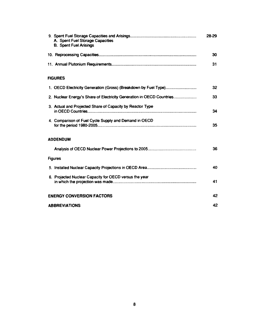| A. Spent Fuel Storage Capacities<br><b>B.</b> Spent Fuel Arisings | 28-29 |
|-------------------------------------------------------------------|-------|
|                                                                   | 30    |
|                                                                   | 31    |
| <b>FIGURES</b>                                                    |       |
|                                                                   | 32    |
|                                                                   | 33    |
| 3. Actual and Projected Share of Capacity by Reactor Type         | 34    |
| 4. Comparison of Fuel Cycle Supply and Demand in OECD             | 35    |
| <b>ADDENDUM</b>                                                   |       |
|                                                                   | 36    |
| <b>Figures</b>                                                    |       |
|                                                                   | 40    |
| 6. Projected Nuclear Capacity for OECD versus the year            | 41    |
| <b>ENERGY CONVERSION FACTORS</b>                                  | 42    |
| <b>ABBREVIATIONS</b>                                              | 42    |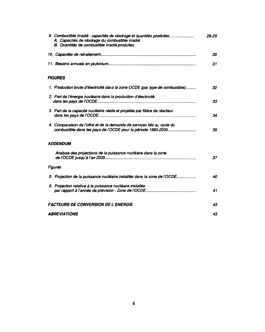| 9. Combustible irradié : capacités de stockage et quantités produites<br>A. Capacités de stockage du combustible irradié                 | 28-29 |
|------------------------------------------------------------------------------------------------------------------------------------------|-------|
| B. Quantités de combustible irradié produites                                                                                            |       |
|                                                                                                                                          | 30    |
|                                                                                                                                          | 31    |
| <b>FIGURES</b>                                                                                                                           |       |
| 1. Production brute d'électricité dans la zone OCDE (par type de combustible)                                                            | 32    |
| 2. Part de l'énergie nucléaire dans la production d'électricité                                                                          | 33    |
| 3. Part de la capacité nucléaire réelle et projetée par filière de réacteur                                                              | 34    |
| 4. Comparaison de l'offre et de la demande de services liés au cycle du<br>combustible dans les pays de l'OCDE pour la période 1980-2005 | 35    |
| <b>ADDENDUM</b>                                                                                                                          |       |
| Analyse des projections de la puissance nucléaire dans la zone                                                                           | 37    |
| <b>Figures</b>                                                                                                                           |       |
| 5. Projection de la puissance nucléaire installée dans la zone de l'OCDE                                                                 | 40    |
| 6. Projection relative à la puissance nucléaire installée                                                                                | 41    |
| <b>FACTEURS DE CONVERSION DE L'ENERGIE</b>                                                                                               | 43    |
| <b>ABREVIATIONS</b>                                                                                                                      | 43    |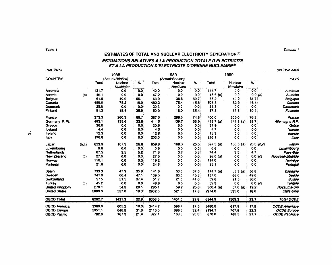### **Table 1 Tableau 1**

# **ESTIMATES OF TOTAL AND NUCLEAR ELECTRICITY GENERATION(d) ESTIMATIONS RELATIVES A LA PRODUCTION TOTALE D'ELECTRICITE ETA LA PRODUCTION DELECTRICITE DORICINE NUCLEAmB<sup>d</sup> >**

(Net TWh)

| (Net TWh)             |        |              |                                    |      |        |                             |          |             |                             | (en TWh nets) |                       |
|-----------------------|--------|--------------|------------------------------------|------|--------|-----------------------------|----------|-------------|-----------------------------|---------------|-----------------------|
|                       |        |              | 1988                               |      |        | 1989                        |          |             | 1990                        |               |                       |
| <b>COUNTRY</b>        |        |              | (Actual/Réelles)                   |      |        | (Actual/Réelles)            |          |             |                             |               | <b>PAYS</b>           |
|                       |        | <b>Total</b> | <b>Nuclear</b><br><b>Nucléaire</b> | $\%$ | Total  | <b>Nuclear</b><br>Nucléaire | $\gamma$ | Total       | <b>Nuclear</b><br>Nucléaire | $\%$          |                       |
| <b>Australia</b>      |        | 131.7        | 0.0                                | 0.0  | 140.0  | 0.0                         | 0.0      | 144.7       | 0.0                         | 0.0           | <b>Australie</b>      |
| Austria               | (c)    | 46.1         | 0.0                                | 0.0  | 47.2   | 0.0                         | 0,0      | $45.6$ (e)  | 0.0                         | $0.0$ (c)     | Autriche              |
| Belgium               |        | 61.9         | 40.9                               | 66.1 | 63.9   | 38.8                        | 60.7     | 65.2        | 40.2                        | 61.7          | Belgique              |
| Canada                |        | 489.0        | 78.2                               | 16.0 | 482.2  | 75.4                        | 15.6     | 506.8       | 82.9                        | 16.4          | Canada                |
| <b>Denmark</b>        |        | 25.0         | 0.0                                | 0.0  | 20.3   | 0.0                         | 0.0      | 31.8        | 0.0                         | 0.0           | Danemark              |
| Finland               |        | 51.3         | 18.4                               | 35.9 | 50.9   | 18.0                        | 35.4     | 57.5        | 17.5                        | 30.4          | Finlande              |
| France                |        | 373.3        | 260.3                              | 69.7 | 387.5  | 289.0                       | 74.6     | 400.0       | 305.0                       | 76.3          | France                |
| Germany F. R.         |        | 403.1        | 135.6                              | 33.6 | 411.5  | 139.7                       | 33.9     | 419.7 (a)   | 141.3(a)                    | 33.7          | Allemagne R.F.        |
| Greece                |        | 30.0         | 0.0                                | 0.0  | 30.9   | 0.0                         | 0.0      | 31.9        | 0.0                         | 0.0           | Grèce                 |
| Iceland               |        | 4.4          | 0.0                                | 0.0  | 4.5    | 0.0                         | 0.0      | 4.7         | 0.0                         | 0.0           | Islande               |
| Ireland               |        | 12.3         | 0.0                                | 0.0  | 12.8   | 0.0                         | 0.0      | 13.3        | 0.0                         | 0,0           | irlande               |
| <b>Italy</b>          |        | 196.8        | 0,0                                | 0.0  | 203.3  | 0.0                         | 0.0      | 216.1       | 0.0                         | 0.0           | Italie                |
| Japan                 | (b, c) | 623.9        | 167.3                              | 26.8 | 659.6  | 168.3                       | 25.5     | 697.3 (a)   | 183.5(a)                    | $26.3$ (b,c)  | Japon                 |
| Luxembourg            |        | 0.6          | 0.0                                | 0.0  | 0.6    | 0.0                         | 0.0      | 0.6         | 0.0                         | 0.0           | Luxembourg            |
| <b>Netherlands</b>    |        | 67.5         | 3.5                                | 5.2  | 71.6   | 3.8                         | 5.3      | 74.4        | 3.5                         | 4.7           | Pays-Bas              |
| <b>New Zealand</b>    | (c)    | 27.0         | 0.0                                | 0.0  | 27.5   | 0.0                         | 0.0      | $28.0$ (a)  | 0.0                         | 0.0   (c)     | Nouvelle-Zélande      |
| Norway                |        | 110.1        | 0.0                                | 0.0  | 119.2  | 0.0                         | 0.0      | 114.0       | 0.0                         | 0.0           | Norvège               |
| Portugal              |        | 21.6         | 0.0                                | 0.0  | 24.6   | 0.0                         | 0.0      | 25.1        | 0.0                         | 0,0           | Portugal              |
| <b>Spain</b>          |        | 133.3        | 47.9                               | 35.9 | 141.6  | 53.3                        | 37.6     | 144.7 $(a)$ | :3.3(a)                     | 36.8          | Espagne               |
| Sweden                |        | 141.0        | 66.4                               | 47.1 | 139.0  | 63.0                        | $-5.3$   | 137.0       | 68.0                        | 49.6          | Suede                 |
| Switzerland           |        | 57.5         | 21.5                               | 37.4 | 51.7   | 21.5                        | 41.6     | 59.8        | 21.5                        | 36.0          | <b>Suisse</b>         |
| <b>Turkey</b>         | (c)    | 45.2         | 0.0                                | 0.0  | 48.8   | 0.0                         | 0.0      | 52.3        | 0.0                         | $0.0$ (c)     | Turquia               |
| <b>United Kingdom</b> |        | 270.1        | 54.3                               | 20.1 | 285.1  | 59.2                        | 20.8     | $300.4$ (a) | 57.6(a)                     | 19.2          | <b>Royaume-Uni</b>    |
| <b>United States</b>  |        | 2880.0       | 527.0                              | 18.3 | 2932.0 | 521.0                       | 17.8     | 2974.0      | 535.0                       | 18.0          | Etats-Unis            |
| <b>OECD Total</b>     |        | 6202.7       | 1421.3                             | 22.9 | 6356.3 | 1451.0                      | 22.8     | 6544.9      | 1509.3                      | 23.1          | <b>Total OCDE</b>     |
| <b>OECD America</b>   |        | 3369.0       | 605.2                              | 18.0 | 3414.2 | 596.4                       | 17.5     | 3480.8      | 617.9                       | 17.8          | <b>OCDE Amérique</b>  |
| <b>OECD Europe</b>    |        | 2051.1       | 648.8                              | 31.6 | 2115.0 | 686.3                       | 32.4     | 2194.1      | 707.9                       | 32.3          | <b>OCDE Europe</b>    |
| <b>OECD Pacific</b>   |        | 782.6        | 167.3                              | 21.4 | 827.1  | 168.3                       | 20.3     | 870.0       | 183.5                       | 21.1          | <b>OCDE Pacifique</b> |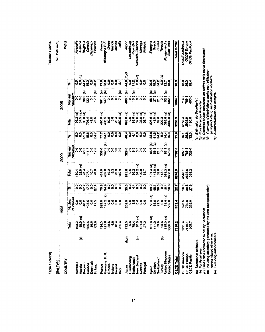| $\frac{1}{\epsilon}$     | ł,                                         |                                                              |                     |                     |                           |                         |                                                        |                                                                                                  |                        | (en TWh nets)<br>Tableau 1 (suite)                            |
|--------------------------|--------------------------------------------|--------------------------------------------------------------|---------------------|---------------------|---------------------------|-------------------------|--------------------------------------------------------|--------------------------------------------------------------------------------------------------|------------------------|---------------------------------------------------------------|
|                          |                                            | 1995                                                         |                     |                     | 2000                      |                         |                                                        | 2005                                                                                             |                        | PAYS                                                          |
|                          | Total                                      | Nucléaire<br>Nuclear                                         | <b>ع</b>            | Total               | Nudéaire<br><b>Reciee</b> | l,                      | Total                                                  | Nucléaire<br><b>Nuclear</b>                                                                      | х                      |                                                               |
|                          | 163.2                                      | ွိ                                                           |                     | $\overline{8}$      | ိ                         |                         | €<br>$\frac{2}{3}$                                     | ဒိ                                                                                               |                        | Australia                                                     |
|                          | ō<br>0.64                                  | $\mathbf{0}$                                                 | o o<br>O O          | €<br>52.9           | o.o                       | 88<br>88                | 医道<br>57.5                                             | o.o                                                                                              | 0.0<br>0.0<br>0.0      | Autriche                                                      |
|                          | 69.7                                       | 40.2                                                         | 57.7                | 78.4                | $\frac{2}{9}$             | 51.3                    | ₫<br><b>96.0</b>                                       | ₫<br>$-9.0$                                                                                      | 100                    | Belgique                                                      |
|                          | 605.4                                      | 108.5                                                        | 17.9                | 707.1               | 11.7                      | 15.8                    | 796.4                                                  | 22.2                                                                                             |                        | Canada                                                        |
|                          | 36.6                                       |                                                              | $0.4$<br>27.4       | $\ddot{a}$          | 0.5                       |                         | $\frac{0}{3}$                                          |                                                                                                  |                        | Danemark                                                      |
|                          | 63.8                                       |                                                              |                     | <b>PO2</b>          |                           | 24.7                    | 75.5                                                   | €<br>17.5                                                                                        | $\frac{2}{3}$          | Finlande                                                      |
|                          | 434.0                                      | 329.0                                                        |                     | 461.0               | 358.0                     | 7.7                     | €<br>490.0                                             | €<br>381.0                                                                                       | <b>77.8</b>            | France                                                        |
|                          | 421.6                                      | ₫<br>147.2                                                   | $75.8$<br>34.9      | 432.0               | ₫<br>147.2                | $\overline{\mathbf{a}}$ | <b>38.5</b>                                            | €<br>147.2                                                                                       | $\ddot{a}$             | Allemagne R.F.                                                |
|                          | 38.6                                       | ွိ                                                           | <u>ိ</u>            | 49.2                | $\ddot{\circ}$            | S                       | 8.e                                                    | ဒ္ဓ                                                                                              | oo                     | Grace                                                         |
|                          | $\frac{9}{4}$                              |                                                              |                     | S.                  | $\mathbf{S}$              |                         | 5.8                                                    |                                                                                                  |                        | Islande                                                       |
|                          | 16.4                                       | $\frac{50}{50}$                                              |                     | ვ<br>გ              | $\ddot{\circ}$            | $rac{0}{0}$             | $\ddot{a}$                                             | 88                                                                                               | 007<br>009             | Irlande                                                       |
|                          | 265.4                                      | $\overline{0}$                                               | 000<br>000          | 310.9               | $\mathbf{c}$              | o.o                     | 350.0 (a)                                              | €<br>7.4                                                                                         |                        | laile                                                         |
|                          | 712.0                                      | 252.9                                                        | 35.5                | 813.6               | 329.0                     | $\vec{S}$               | €<br>893.8                                             | €<br>400.0                                                                                       | io'o)<br>$\frac{3}{4}$ | Japon                                                         |
|                          | $\frac{6}{5}$                              | $\overline{0}$                                               | $\ddot{\circ}$      | $\overline{0}$      | $\overline{0}$            | o.o                     | $\overline{0}$                                         | $\ddot{\circ}$                                                                                   | °°                     | Luxembourg                                                    |
|                          | 79.4                                       |                                                              | 4.4                 | 86.2                | <b>9.5</b>                |                         | Ξ<br><b>93.6</b>                                       | €<br>10.5                                                                                        | $11.2$<br>0.0 (c)      | eng-eva                                                       |
|                          | ₫<br>30.5                                  | sooo<br>8000                                                 | 000<br>000          | €<br>$\frac{3}{2}$  | 000<br>000                | $-0.000$                | Ξ<br>37.6                                              | $rac{0}{0}$ $rac{0}{0}$                                                                          |                        | <b>.Zélande</b><br>Nouve                                      |
|                          | 121.0                                      |                                                              |                     | 130.0               |                           |                         | €<br>38.0                                              |                                                                                                  | 88                     | Norvege                                                       |
|                          | 27.2                                       |                                                              |                     | ŗ<br>'<br>ल         |                           |                         | σ<br><b>36.7</b>                                       |                                                                                                  |                        | Portugal                                                      |
|                          | $\widehat{\mathbf{c}}$<br>161.6            | ₫<br>53.3                                                    | $\frac{8}{3}$       | €<br>191.4          | €<br>66.6                 |                         | €<br>226.6                                             | €<br>66.6                                                                                        | $\ddot{\mathbf{z}}$    | Espagne                                                       |
|                          | 141.0                                      | 65.0                                                         | $\overline{4}$      | €<br>141.0          | Ξ<br>58.5                 | 3,5                     | ₫<br>141.0                                             | €<br>27.2                                                                                        | 19.3                   | <b>Sudote</b>                                                 |
|                          | 59.8                                       | 21.5                                                         | $\ddot{\mathbf{g}}$ | 62.8                | 21.5                      | 34.2                    | 82.8                                                   | 21.5                                                                                             | 34.2                   | <b>Suisse</b>                                                 |
|                          | 93.6                                       | $\ddot{\circ}$                                               | ိဝ                  | 147.1               | o.o                       | o.o                     | 209.3                                                  | <u>ိ</u>                                                                                         | 0.016)                 | Turquie                                                       |
|                          | $\widehat{\mathbf{a}}$<br>335.0            | €<br>61.0<br>582.0                                           | 18.4                | 363.3 (a)<br>3838.0 | €<br>52.3<br>576.0        | 14.0                    | ₫<br>385.6                                             | €<br>52.9<br>592.0                                                                               | 13.7                   | Royaume Uni                                                   |
|                          | 3386.0                                     |                                                              |                     |                     |                           |                         | €<br>1360.0                                            |                                                                                                  |                        | Etats-Urvs                                                    |
|                          | 7316.2                                     | 1662.4                                                       | 227                 | 8248.9              | 1782.0                    | 21.6                    | 9208.9                                                 | 1884.0                                                                                           | 20.5                   | Total OCDE                                                    |
|                          | 3991.4                                     | 670.5                                                        |                     | 4545.1              | 687.7                     | 15.1                    | 5156.4                                                 | 714.2                                                                                            | 13.9                   | OCDE Amérique                                                 |
|                          | 2419.1                                     | 739.0                                                        |                     | 2675.6              | 765.3                     | 28.6                    | 2921.9                                                 | 769.8                                                                                            | $\boldsymbol{3}$       | OCDE Europe                                                   |
|                          | 905.7                                      | 252.9                                                        | 822                 | 1028.2              | 329.0                     | 32.0                    | 1130.6                                                 | 400.0                                                                                            | 35.4                   | OCDE Pacifique                                                |
|                          |                                            |                                                              |                     |                     |                           | T<br>â                  | Estimation du Secrétariat<br>Pour l'exercice financier |                                                                                                  |                        |                                                               |
|                          | Gross data converted to net by Secretariat |                                                              |                     |                     |                           | ē                       |                                                        |                                                                                                  |                        | Domées brutes converties en chiffres nets par le Secrétariat. |
| unless stated otherwise. |                                            | Including electricity generated by the user (autoproduction) |                     |                     |                           | ত                       |                                                        | Y compris d'électricité produite par l'utilisateur<br>autoproducteur) sauf indication contraire. |                        |                                                               |
| Excluding autoproducers. |                                            |                                                              |                     |                     |                           | Î                       | Autoproducteurs non compris                            |                                                                                                  |                        |                                                               |
|                          |                                            |                                                              |                     |                     |                           |                         |                                                        |                                                                                                  |                        |                                                               |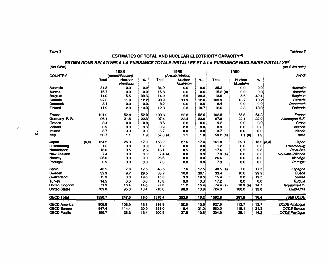### Table 2

### **ESTIMATES OF TOTAL AND NUCLEAR ELECTRICITY CAPACITY(d)**

## **ESTIMATIONS RELATIVES A LA PUISSANCE TOTALE INSTALLEE ET A LA PUISSANCE NUCLEAIRE INSTALLEE<sup>4)</sup>**

(en GWe nets) (Net GWe) 1988 **1989** 1990 **COUNTRY** (Actual/Réelles) (Actual/Réelles) **PAYS Total Nuclear** ℁ Total **Nuclear**  $\overline{\mathbf{z}}$ Total **Nuclear**  $\overline{\mathcal{H}}$ **Nucléaire Nucléaire** Nucléaire **Australia**  $34.8$  $0.0$  $0.0$  $34.9$  $0.0$  $\overline{0.0}$  $35.2$  $0.0$ **Australie**  $0.0$ **Austria** 16.7  $0.0$  $0.0$ 16.8  $0.0$  $15.2(e)$  $0.0$  $0.0$ **Autriche**  $0.0$ **Belgium** 14.0  $5.5$  $39.3$ 14.0  $5.5$  $39.3$ 13.6  $5.5$ 40.4 Belgique 103.9 Canada 97.6 98.9 11.9  $12.2$ 11.9  $12.0$  $13.7$  $13.2$ Canada **Danemark** Denmark  $8.1$  $0.0$  $0.0$  $8.2$  $0.0$  $0.0$  $8.4$  $0.0$  $0.0$ **Finland** 11.9  $2.3$  $19.3$  $12.3$  $2.3$  $18.7$  $12.6$  $2.3$ 18.3 Finlande 101.0  $52.8$ 52.3 100.3 52.8  $52.6$ 102.8 55.8 54.3 France France Germany F. R. 96.4  $21.5$  $22.3$ 97.4  $23.0$  $97.8$  $22.4$ 22.9 Allemagne R.F. 22.4 Greece 8.4  $0.0$  $0.0$ 8.6  $0.0$  $0.0$  $9.2$  $0.0$  $0.0$ Gràce **Iceland**  $0.9$  $0.0$  $0.0$  $0.9$  $0.0$  $0.0$  $0.9$  $0.0$  $0.0$ Islande Ireland  $3.7$ 0.0  $0.0$  $3.7$  $0.0$ 0.0  $3.7$  $0.0$  $0.0$ **Irlande Italy** 56.7  $1.9<sup>1</sup>$  $57.0(a)$  $59.2(a)$ Italie  $1.1$  $1.1$  $1.9<sup>1</sup>$  $1.1(a)$  $1.9$ Japan  $(b, c)$ 154.5 26.3  $17.0$ 158.2 27.6  $17.4$ 161.8  $29.1$  $18.0$  (b.c) Japon Luxembourg  $1.2$  $0.0$  $0.0$  $1.2$  $0.0$  $0.0$  $1.2$  $0.0$  $0.01$ Luxembourg **Netherlands** 18.0  $0.5$  $2.8<sup>1</sup>$  $18.1$  $0.5$  $2.8$  $17.6$  $0.5$  $2.8$ Pays-Bas New Zealand  $7.4$  $7.4$  (a)  $7.9(a)$  $0.0$ Nouvelle-Zélande  $0.0$  $0.0$  $0.0$  $0.0$  $0.0$ **Norway** 26.0  $0.0$  $0.0$ 26.6  $0.0$ Norvège  $0.0$ 26.6  $0.0$  $0.0$ Portugal 6.9  $0.0$  $0.0$  $7.3$  $0.0$  $0.0$  $7.3$  $0.0$  $0.0$ Portugal Spain 43.5 7.6  $17.5$ 43.5 7.6  $17.5$  $43.5(a)$ 7.6  $17.5$ Espagne 32.9  $33.2$ Sweden  $9.7$  $29.5$  $10.0$  $30.1$  $33.4$ 29.9 Suède  $10.0<sub>1</sub>$ **Switzerland** 15.3  $3.0$ 19.6  $15.3$  $3.0$ 19.6 15.4  $3.0$ 19.5 **Suisse Turkey** 14.5  $0.0$  $0.0$ 15.8  $0.0$  $0.0$  $17.2$  $0.0$  $0.0$ **Turquie United Kingdom**  $10.9(a)$  $71.3$ 72.8  $74.4$  (a) Rovaume-Uni  $10.4$ 14.6  $11.2$ 15.4  $14.7$ **United States** 709.0 718.0 724.0 100.0 Etats-Unis 95.0 13.4 98.0 13.6  $13.8$ **OECD Total** 1550.7 247.6 1570.4 253.9  $16.2$ 1592.8 261.9 16.4 **Total OCDE** 16.0  $13.5$ **OECD America** 806.6 106.9 13.3 816.9 109.9 827.9 13.7 **OCDE Amérique** 113.7 **OECD Europe** 547.4 20.9 553.0 116.4 560.0 119.1  $21.3$ **OCDE Europe** 114.4  $21.0$ **OCDE Pacifique OECD Pacific** 196.7 26.3  $13.4$ 200.5 27.6  $13.8^{\dagger}$ 204.9  $29.1$  $14.2$ 

 $\vec{D}$ 

J.

Tableau 2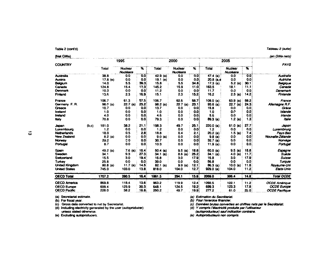**(NetGWe)** 

**Table 2 (cont'd) Tableau 2 (suite) (en GWe nets)** 

| <b>COUNTRY</b>        |       |            | 1995                        |          |              | 2000                        |          |             | 2005                        |              | <b>PAYS</b>           |
|-----------------------|-------|------------|-----------------------------|----------|--------------|-----------------------------|----------|-------------|-----------------------------|--------------|-----------------------|
|                       |       | Total      | <b>Nuclear</b><br>Nucléaire | $\alpha$ | Total        | <b>Nuclear</b><br>Nucléaire | $\gamma$ | Total       | <b>Nuclear</b><br>Nucléaire | $\mathbf{v}$ |                       |
| <b>Australia</b>      |       | 38.8       | 0.0                         | 0.0      | 42.9(a)      | 0.0                         | 0.0      | 47.4 (a)    | 0.0                         | 0.0          | <b>Australie</b>      |
| <b>Austria</b>        |       | $17.8$ (e) | 0.0                         | 0.0      | 19.1 ( $e$ ) | 0.0                         | 0,0      | 20.8 (a.e   | 0.0                         | 0.0          | Autriche              |
| <b>Belgium</b>        |       | 14.0       | 5.5                         | 39.3     | 15.8         | 5.5                         | 34.8     | 17.3<br>(a) | 5.2 $(a)$                   | 30.1         | Belgique              |
| Canada                |       | 124.8      | 15.4                        | 12.3     | 145.2        | 15.9                        | 11.0     | 163.5       | 18.1                        | 11.1         | Canada                |
| <b>Denmark</b>        |       | 10.3       | 0.0                         | 0.0      | 11.2         | 0.0                         | 0.0      | 11.7        | 0.0                         | 0.0          | Danemark              |
| Finland               |       | 13.6       | 2.3                         | 16.9     | 15.1         | 2.3                         | 15.2     | 16.2        | 2.3(a)                      | 14.2         | Finlande              |
| France                |       | 106.7      | 61.3                        | 57.5     | 106.7        | 62.6                        | 58.7     | 108.0(a)    | 63.9(a)                     | 59.2         | France                |
| Germany F. R.         |       | 98.0 (a)   | 22.7(a)                     | 23.2     | 98.2(a)      | 22.7(a)                     | 23.1     | 93.6(a)     | 22.7(a)                     | 24.3         | Allemagne R.F.        |
| Greece                |       | 10.7       | 0.0                         | 0.0      | 13.7         | 0.0                         | 0.0      | 15.8        | 0.0                         | 0.0          | Grèce                 |
| Iceland               |       | 1.0        | 0.0                         | 0.0      | 1.0          | 0.0                         | 0.0      | 1.0         | 0.0                         | 0.0          | Islande               |
| Ireland               |       | 4.0        | 0.0                         | 0.0      | 4.6          | 0.0                         | 0.0      | 5.6         | 0.0                         | 0.0          | inande                |
| <b>Italy</b>          |       | 70.8       | 0.0                         | 0.0      | 79.3         | 0.0                         | 0.0      | 89.3 (a)    | 1.2(a)                      | 1.3          | Italie                |
| Japan                 | (b,c) | 181.0      | 38.2                        | 21.1     | 198.3        | 49.7                        | 25.1     | $220.0$ (a) | 61.0 (a)                    | 27.7         | Japon                 |
| Luxembourg            |       | 1.2        | 0.0                         | 0.0      | 1.2          | 0.0                         | 0.0      | 1.2         | 0.0                         | 0.0          | Luxembourg            |
| <b>Netherlands</b>    |       | 18.0       | 0.5                         | 2.8      | 18.8         | 0.4                         | 2.1      | 20.2(a)     | 1.5(a)                      | 7.4          | Pays-Bas              |
| <b>New Zealand</b>    |       | $8.2$ (a)  | 0.0                         | 0.0      | 9.0(a)       | 0.0                         | 0.0      | 9.8<br>(a)  | 0.0                         | 0.0          | Nouvelle-Zélande      |
| Norway                |       | 29.2       | 00                          | 0.0      | 30.7         | 0.0                         | 0.0      | 32.7(a)     | 0.0                         | 0.0          | Norvège               |
| Portugal              |       | 8.7        | 0.0                         | 0.0      | 10.3         | 0.0                         | 0.0      | 11.9<br>(a) | 0.0                         | 0.0          | Portugal              |
| Spain                 |       | 49.2 (a)   | $7.6$ (a)                   | 15.4     | $50.4$ (a)   | 9.5<br>(a)                  | 18.8     | 60.0 (a)    | 9.5(a)                      | 15.8         | Espagne               |
| Sweden                |       | 34.1       | 9.3                         | 27.3     | $34.1$ (a)   | 8.6<br>(a)                  | 25.2     | 34.1<br>(a) | 4.0(a)                      | 11.7         | Suede                 |
| Switzerland           |       | 15.5       | 3.0                         | 19.4     | 16.8         | 3.0                         | 17.9     | 16.8        | 3.0                         | 17.9         | Suisse                |
| <b>Turkey</b>         |       | 25.8       | 0.0                         | 0.0      | 39.0         | 0.0                         | 0.0      | 56.8        | 0.0                         | 0.0          | Turquie               |
| <b>United Kingdom</b> |       | 80.8(a)    | 11.7 $(a)$                  | 14.5     | 82.1(a)      | 9.9<br>(a)                  | 12.1     | 86.3 (a)    | 10.0(a)                     | 11.6         | Royaume-Uni           |
| <b>United States</b>  |       | 745.0      | 103.0                       | 13.8     | 818.0        | 104.0                       | 12.7     | 929.0 (a)   | 104.0                       | 11.2         | Etats-Unis            |
| <b>OECD Total</b>     |       | 1707.2     | 280.5                       | 16.4     | 1861.5       | 294.1                       | 15.8     | 2069.0      | 306.4                       | 14.8         | <b>Total OCDE</b>     |
| <b>OECD America</b>   |       | 869.8      | 118.4                       | 13.6     | 963.2        | 119.9                       | 12.4     | 1092.5      | 122.1                       | 11.2         | <b>OCDE Amérique</b>  |
| <b>OECD Europe</b>    |       | 609.4      | 123.9                       | 20.3     | 648.1        | 124.5                       | 19.2     | 699.3       | 123.3                       | 17.6         | <b>OCDE Europe</b>    |
| <b>OECD Pacific</b>   |       | 228.0      | 38.2                        | 16.8     | 250.2        | 49.7                        | 19.9     | 277.2       | 61.0                        | 22.0         | <b>OCDE Pacifique</b> |

**(a) Secretariat estimate.** 

**(b) For fiscal year.** 

**(c) Gross data converted to net by Secretariat** 

**(d) Including electricity generated by the user (autoproducer) unless stated otherwise** 

**(e) Excluding autoproducers.** 

**(a) Estimation du Secretariat.** 

**(b) Pour I'exerdce financier.** 

**(c) Donnees brutes converties en chiffres nets par le Secretariat** 

(d) Y compris l'électricité produite par l'utilisateur

**(autoproducteur) saut indication contraire.** 

**(e) Autoproducteurs non compris.**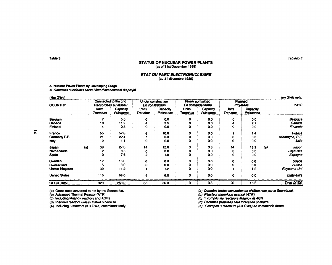### **STATUS OF NUCLEAR POWER PLANTS (as of 31 st December 1989)**

## **ETAT DU PARC ELECTRONUCLEAIRE**

**(au 31 deoembre 1989)** 

**A. Nuclear Power Plants by Developing Stage** 

A. Centrales nucléaires selon l'état d'avancement du projet

Table 3

| (Net GWe)                                                    |     |                          |                                               |                         |                                              |                   |                                      |                          |                             |     | (en GWe nets)                         |  |
|--------------------------------------------------------------|-----|--------------------------|-----------------------------------------------|-------------------------|----------------------------------------------|-------------------|--------------------------------------|--------------------------|-----------------------------|-----|---------------------------------------|--|
| <b>COUNTRY</b>                                               |     |                          | Connected to the grid<br>Raccordées au réseau |                         | <b>Under construction</b><br>En construction |                   | Firmly committed<br>En comande ferme |                          | Planned<br><b>Projetées</b> |     | <b>PAYS</b>                           |  |
|                                                              |     | <b>Units</b><br>Tranches | <b>Capacity</b><br>Puissance                  | L'nits<br>Tranches      | Capacity<br>Puissance                        | Units<br>Tranches | Capacity<br>Puissance                | <b>Units</b><br>Tranches | Capacity<br>Puissance       |     |                                       |  |
| <b>Belgium</b><br>Canada<br><b>Finland</b>                   |     | 18                       | 5.5<br>11.9<br>2.3                            | O<br>U                  | 0,0<br>3.5<br>0.0                            | 0<br>ο<br>٥       | 0.0<br>0.0<br>0.0                    | 0<br>O                   | 0.0<br>2.7<br>0.0           |     | Belgique<br>Canada<br>Finlande        |  |
| France<br>Germany F.R.<br><b>ttaly</b>                       |     | 55<br>21<br>2            | 52.8<br>22.4<br>1.1                           | 8<br>$\mathbf o$        | 10.8<br>0.3<br>0.0                           | 0                 | 0.0<br>0.0<br>0.0                    | 0<br>0                   | 1.4<br>0.0<br>0.0           |     | France<br>Allemagne, R.F.<br>halle    |  |
| Japan<br><b>Netherlands</b><br>Spain                         | (a) | 38<br>2<br>10            | 27.6<br>0.5<br>7.6                            | 14<br>O<br>$\mathbf{z}$ | 12.6<br>0.0<br>1.9                           | n<br>0            | 3.3<br>0.0<br>0.0                    | 14<br>0<br>Ω             | 13.2<br>0.0<br>0.0          | (a) | Japon<br>Pays-Bas<br>Espagne          |  |
| <b>Sweden</b><br><b>Switzerland</b><br><b>United Kingdom</b> |     | 12<br>S<br>39            | 10.0<br>3.0<br>11.2                           | 0<br>$\mathbf 0$        | 0.0<br>0.0<br>1.2                            | o<br>0            | 0.0<br>0.0<br>0.0                    | o<br>٥                   | 0.0<br>0.0<br>1.2           |     | Suède<br><b>Suisse</b><br>Royaume-Uni |  |
| <b>United States</b>                                         |     | 110                      | 98.0                                          | 5                       | 6.0                                          | $\mathbf 0$       | 0.0                                  | 0                        | 0.0                         |     | Etats-Unis                            |  |
| <b>OECD Total</b>                                            |     | 323                      | 253.9                                         | 35                      | 36.3                                         | з                 | 3.3                                  | 20                       | 18.5                        |     | Total OCDE                            |  |

**(a) Gross data converted to net by the Secretariat.** 

**(b) Advanced Thermal Reactor (ATR).** 

**(c) Including Magnox reactors and AGRs.** 

**(d) Planned reactors unless stated otherwise.** 

**(e) Including 3 reactors (3.3 GWe) committed firmly.** 

*(a) Donnees brutes converges en chiffres nets par le Secretariat.* 

(b) Réacteur thermique avancé (ATR).

*(c) Y compris les reacteurs Magnox et AGR.* 

*(d)* Centrales projetées saut indication contraire.

*(e) Y compris 3 reacteurs (3.3 GWe) en commando ferme.* 

 $\vec{4}$ 

*Tableau 3*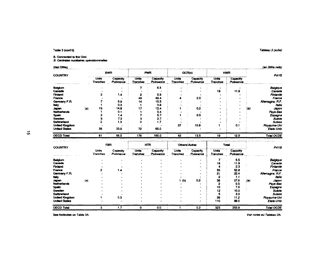## Table 3 (cont'd)

### **B. Connected to the Grid**

**B. Centrales nucléaires opérationnnelles** 

Tableau 3 (sulte)

|                   |                          |                       | <b>HWR</b>               |                       | GCR(c)                   | <b>PWR</b>            |                          | <b>BWR</b>            |                          |     | <b>COUNTRY</b>        |
|-------------------|--------------------------|-----------------------|--------------------------|-----------------------|--------------------------|-----------------------|--------------------------|-----------------------|--------------------------|-----|-----------------------|
| <b>PAYS</b>       |                          | Capacity<br>Pulssance | <b>Units</b><br>Tranches | Capacity<br>Puissance | <b>Units</b><br>Tranches | Capacity<br>Puissance | <b>Units</b><br>Tranches | Capacity<br>Puissance | <b>Units</b><br>Tranches |     |                       |
| Belgique          |                          |                       |                          |                       |                          | 5.5                   |                          | $\sim$                |                          |     | Belgium               |
| Canada            |                          | 11.9                  | 18                       |                       |                          |                       |                          |                       |                          |     | Canada                |
| Finlande          |                          |                       |                          |                       |                          | 0.9                   |                          | 1.4                   |                          |     | <b>Finland</b>        |
| France            |                          |                       |                          | 2.0                   |                          | 49.4                  | 49                       |                       |                          |     | France                |
| Allemagne, R.F.   |                          |                       |                          |                       |                          | 15.5                  | 14                       | 6.9                   |                          |     | Germany F.R.          |
| italie            |                          |                       |                          |                       |                          | 0.8                   |                          | 0.3                   |                          |     | <b>Italy</b>          |
| Japon             | $\left( \bullet \right)$ |                       |                          | 0.2                   |                          | 12.4                  | 17                       | 14.8                  | 19                       | (a) | Japan                 |
| Pays-Bas          |                          |                       |                          |                       |                          | 0.4                   |                          | 0.1                   |                          |     | <b>Netherlands</b>    |
| Espagne           |                          |                       | $\bullet$                | 0.5                   |                          | 5.7                   |                          | 1.4                   |                          |     | Spain                 |
| Suede             |                          |                       |                          |                       |                          | 2.7                   |                          | 7.3                   |                          |     | Sweden                |
| Suisse            |                          |                       |                          |                       |                          | 1.7                   | з                        | 1.3                   |                          |     | Switzerland           |
| Royaume-Uni       |                          | 0.1                   |                          | 10.8                  | 37                       |                       |                          |                       |                          |     | <b>United Kingdom</b> |
| Etats-Unis        |                          |                       |                          |                       |                          | 65.0                  | 72                       | 33.0                  | 38                       |     | <b>United States</b>  |
| <b>Total OCDE</b> |                          | 12.0                  | 19                       | 13.5                  | 43                       | 160.0                 | 176                      | 66.5                  | 81                       |     | <b>OECD Total</b>     |

| <b>COUNTRY</b>        |     |                          | <b>FBR</b>            |                   | <b>HTR</b>            | Others/Autres     |                       |                          | Total                 |                              | <b>PAYS</b>     |  |
|-----------------------|-----|--------------------------|-----------------------|-------------------|-----------------------|-------------------|-----------------------|--------------------------|-----------------------|------------------------------|-----------------|--|
|                       |     | <b>Units</b><br>Tranches | Capacity<br>Puissance | Units<br>Tranches | Capacity<br>Puissance | Units<br>Tranches | Capacity<br>Puissance | <b>Units</b><br>Tranches | Capacity<br>Pulssance |                              |                 |  |
| Belgium               |     |                          |                       |                   |                       |                   |                       |                          | 5.5                   |                              | Belgique        |  |
| Canada                |     |                          |                       |                   |                       |                   |                       | 18                       | 11.9                  |                              | Canada          |  |
| <b>Finland</b>        |     |                          |                       |                   |                       |                   |                       |                          | 2.3                   |                              | Finlande        |  |
| France                |     |                          | 1.4                   |                   |                       |                   |                       | 55                       | 52.8                  |                              | France          |  |
| Germany F.R.          |     |                          |                       |                   |                       |                   |                       | 21                       | 22.4                  |                              | Allemagne, R.F. |  |
| <b>Italy</b>          |     |                          |                       |                   |                       |                   |                       | 2                        | 1.1                   |                              | ltalie          |  |
| Japan                 | (a) |                          |                       |                   |                       | 1(b)              | 0.2                   | 38                       | 27.6                  | $\langle \mathbf{a} \rangle$ | Japon           |  |
| <b>Netherlands</b>    |     |                          |                       |                   |                       |                   |                       | 2                        | 0.5                   |                              | Pays-Bas        |  |
| <b>Spain</b>          |     |                          |                       |                   |                       |                   |                       | 10                       | 7.6                   |                              | Espagne         |  |
| Sweden                |     |                          |                       |                   |                       |                   |                       | 12                       | 10.0                  |                              | Suède           |  |
| Switzerland           |     |                          |                       |                   |                       |                   |                       | 5                        | 3.0                   |                              | <b>Suisse</b>   |  |
| <b>United Kingdom</b> |     |                          | 0.3                   |                   |                       |                   | ۰                     | 39                       | 11.2                  |                              | Royaume-Uni     |  |
| <b>United States</b>  |     |                          |                       |                   |                       |                   | ٠                     | 110                      | 98.0                  |                              | Etats-Unis      |  |
| <b>OECD Total</b>     |     |                          | 1,7                   | O                 | 0.0                   |                   | 0.2                   | 323                      | 253.9                 |                              | Total OCDE      |  |

See footnotes on Table 3A.

Voir notes au Tableau 3A.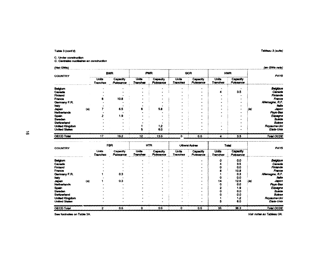### Table 3 (cont'd)

C. Under construction<br>C. Centrales nucléaires en construction

### $AB = ABAB$

| (Net GWe)             |     |                          |                       |                          |                              |                   |                              |                          |                       |     | (en GWe nets)     |
|-----------------------|-----|--------------------------|-----------------------|--------------------------|------------------------------|-------------------|------------------------------|--------------------------|-----------------------|-----|-------------------|
| <b>COUNTRY</b>        |     |                          | <b>BWR</b>            |                          | PWR                          |                   | GCR                          |                          | <b>HWR</b>            |     | PAYS              |
|                       |     | Units<br><b>Tranches</b> | Capacity<br>Puissance | <b>Units</b><br>Tranches | <b>Capacity</b><br>Puissance | Units<br>Tranches | <b>Capacity</b><br>Pulssance | <b>Units</b><br>Tranches | Capacity<br>Puissance |     |                   |
| <b>Belgium</b>        |     |                          |                       |                          |                              |                   |                              |                          |                       |     | Belgique          |
| Canada                |     |                          |                       |                          |                              |                   |                              |                          | 3.5                   |     | Canada            |
| Finland               |     |                          |                       |                          |                              |                   |                              |                          |                       |     | Finlande          |
| France                |     |                          | 10.8                  |                          |                              |                   |                              |                          |                       |     | France            |
| Germany F.R.          |     |                          |                       |                          | ۰                            |                   |                              |                          |                       |     | Allemagne, R.F.   |
| <b>Italy</b>          |     |                          |                       |                          |                              |                   |                              |                          |                       |     | ltaile            |
| Japan                 | (a) |                          | 6.5                   | В                        | 5.8                          |                   | ۰                            |                          |                       | (e) | Japon             |
| <b>Netherlands</b>    |     |                          |                       |                          |                              |                   |                              |                          |                       |     | Pays-Bas          |
| <b>Spain</b>          |     |                          | 1.9                   |                          |                              |                   |                              |                          |                       |     | Espagne           |
| Sweden                |     |                          |                       |                          |                              |                   |                              |                          |                       |     | <b>Suède</b>      |
| Switzerland           |     |                          |                       |                          |                              |                   |                              |                          |                       |     | Suisse            |
| <b>United Kingdom</b> |     |                          |                       |                          | 1.2                          |                   |                              | -                        |                       |     | Royaume-Uni       |
| <b>United States</b>  |     |                          |                       | 5                        | 6.0                          |                   |                              |                          |                       |     | Etats-Unis        |
| <b>OECD Total</b>     |     | 17                       | 19.2                  | 12                       | 13.0                         | 0                 | 0,0                          |                          | 3.5                   |     | <b>Total OCDE</b> |

| <b>COUNTRY</b>        |     |                          | <b>FBR</b>            |                          | <b>HTR</b>                   |                                 | Others/Autres                |                          | Total                 |           | <b>PAYS</b>     |  |
|-----------------------|-----|--------------------------|-----------------------|--------------------------|------------------------------|---------------------------------|------------------------------|--------------------------|-----------------------|-----------|-----------------|--|
|                       |     | <b>Units</b><br>Tranches | Capacity<br>Pulssance | <b>Units</b><br>Tranches | <b>Capacity</b><br>Pulssance | <b>Units</b><br><b>Tranches</b> | <b>Capacity</b><br>Pulssance | <b>Units</b><br>Tranches | Capacity<br>Pulssance |           |                 |  |
| <b>Belgium</b>        |     |                          |                       |                          |                              |                                 |                              | o                        | 0.0                   |           | Belgique        |  |
| Canado                |     |                          |                       |                          |                              |                                 |                              |                          | 3.5                   |           | Canada          |  |
| Finland               |     |                          |                       |                          |                              |                                 |                              |                          | 0.0                   |           | Finlande        |  |
| France                |     |                          |                       |                          | $\overline{\phantom{0}}$     |                                 |                              |                          | 10.8                  |           | France          |  |
| Germany F.R.          |     |                          | 0.3                   |                          |                              |                                 |                              |                          | 0.3                   |           | Allemagne, R.F. |  |
| <b>Italy</b>          |     |                          |                       |                          |                              |                                 |                              | о                        | 0.0                   |           | <b>Italie</b>   |  |
| Japan                 | (a) |                          | 0.3                   |                          |                              |                                 |                              | 14                       | 12.6                  | $\ket{a}$ | Japon           |  |
| <b>Netherlands</b>    |     |                          |                       |                          |                              |                                 |                              |                          | 0.0                   |           | Pays-Bas        |  |
| Spain                 |     |                          |                       |                          |                              |                                 |                              |                          | 1.9                   |           | Espagne         |  |
| Sweden                |     |                          |                       |                          |                              |                                 | $\bullet$                    |                          | 0.0                   |           | <b>Suède</b>    |  |
| Switzerland           |     |                          |                       |                          |                              |                                 |                              |                          | 0,0                   |           | <b>Suisse</b>   |  |
| <b>United Kingdom</b> |     |                          |                       |                          | $\blacksquare$               |                                 | $\blacksquare$               |                          | 1.2                   |           | Roysume-Uni     |  |
| <b>United States</b>  |     |                          |                       |                          |                              |                                 | $\blacksquare$               |                          | 6.0                   |           | Etats-Unis      |  |
| <b>OFCD Total</b>     |     | 2                        | n R                   | Ω                        | ۵O.                          | n                               | n n                          | 35                       | 36.3                  |           | Total OCDE      |  |

See footnotes on Table 3A.

Voir notes au Tableau 3A.

Tableau 3 (suite)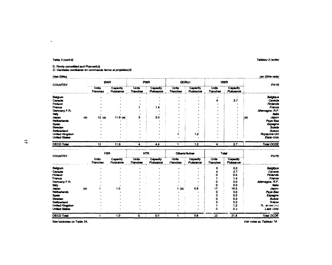### Table 3 (cont'd)

 $\overline{\phantom{a}}$ 

D. Firmly committed and Planned(d)<br>D. Centrales nucléaires en *commande ferme et projetées(d)* 

## (Net GWe)

| (Net GWe)             |     |                          |                              |                   |                       |                          |                              |                          |                              |                          | (en GWe nets)     |
|-----------------------|-----|--------------------------|------------------------------|-------------------|-----------------------|--------------------------|------------------------------|--------------------------|------------------------------|--------------------------|-------------------|
| <b>COUNTRY</b>        |     | <b>BWR</b>               |                              |                   | <b>PWR</b>            |                          | (GCR(c)                      | <b>HWR</b>               |                              | <b>PAYS</b>              |                   |
|                       |     | <b>Units</b><br>Tranches | <b>Capacity</b><br>Puissance | Units<br>Tranches | Capacity<br>Puissance | <b>Units</b><br>Tranches | <b>Capacity</b><br>Puissance | <b>Units</b><br>Tranches | <b>Capacity</b><br>Puissance |                          |                   |
| <b>Belgium</b>        |     |                          |                              |                   |                       |                          |                              |                          |                              |                          | Belgique          |
| Canada                |     |                          |                              |                   |                       |                          |                              |                          | 2.7                          |                          | Canada            |
| Finland               |     |                          |                              |                   |                       |                          |                              |                          |                              |                          | Finlande          |
| France                |     |                          |                              |                   | 1.4                   |                          |                              |                          |                              |                          | France            |
| Germany F.R.          |     |                          |                              |                   |                       |                          |                              |                          |                              |                          | Allemagne, R.F.   |
| <b>Italy</b>          |     |                          |                              |                   |                       |                          |                              |                          |                              |                          | italie            |
| Japan                 | (a) | 12 $(e)$                 | 11.9 ( $\bullet$ )           |                   | 3.0                   |                          |                              |                          | ٠                            | $\left( \bullet \right)$ | Japon             |
| <b>Netherlands</b>    |     |                          |                              |                   |                       |                          |                              |                          |                              |                          | Pays-Bas          |
| <b>Spain</b>          |     |                          |                              |                   |                       |                          |                              |                          |                              |                          | Espagne           |
| Sweden                |     |                          |                              |                   |                       |                          |                              |                          |                              |                          | <b>Suède</b>      |
| Switzerland           |     |                          |                              |                   |                       |                          |                              |                          |                              |                          | Suisse            |
| <b>United Kingdom</b> |     |                          |                              |                   |                       |                          | 1.2                          |                          |                              |                          | Royaume-Uni       |
| <b>United States</b>  |     |                          |                              |                   |                       |                          |                              |                          |                              |                          | Etats-Unis        |
| <b>OECD Total</b>     |     | 12                       | 11.9                         |                   | 4.4                   |                          | 1.2                          |                          | 2.7                          |                          | <b>Total OCDE</b> |

| <b>COUNTRY</b>        |     |                                 | <b>FBR</b>            |                          | <b>HTR</b>           | Others/Autree            |                              |                          | Total                        | <b>PAYS</b>       |
|-----------------------|-----|---------------------------------|-----------------------|--------------------------|----------------------|--------------------------|------------------------------|--------------------------|------------------------------|-------------------|
|                       |     | <b>Units</b><br><b>Tranches</b> | Capacity<br>Puissance | Units<br><b>Tranches</b> | Capadty<br>Pulssance | <b>Units</b><br>Tranches | <b>Capacity</b><br>Pulssance | <b>Units</b><br>Tranches | <b>Capacity</b><br>Pulssance |                   |
| <b>Belgium</b>        |     |                                 |                       |                          |                      |                          |                              | o                        | 0.0                          | Beigique          |
| Canada                |     |                                 |                       |                          |                      |                          |                              |                          | 2.7                          | Cariada           |
| <b>Finland</b>        |     |                                 |                       |                          |                      |                          | ۰                            |                          | 0.0                          | Finlande          |
| France                |     |                                 |                       |                          |                      |                          |                              |                          | 1.4                          | France            |
| Germany F.R.          |     |                                 |                       |                          |                      |                          | $\bullet$                    |                          | 0.0                          | Allemagne, R.F.   |
| <b>Italy</b>          |     |                                 |                       |                          |                      |                          |                              |                          | 0.0                          | ltalio            |
| Japan                 | (a) |                                 | 1.0                   |                          |                      | $1$ (b)                  | 0.6                          | 17                       | 16.5                         | Japon             |
| <b>Netherlands</b>    |     |                                 |                       |                          |                      |                          |                              |                          | 0.0                          | Pays-Bas          |
| <b>Spain</b>          |     |                                 |                       |                          |                      |                          |                              |                          | 0.0                          | Espagne           |
| Sweden                |     |                                 |                       |                          |                      |                          |                              |                          | 0.0                          | Suède             |
| Switzerland           |     |                                 |                       |                          |                      |                          |                              |                          | 0.0                          | Suisse            |
| <b>United Kingdom</b> |     |                                 |                       |                          |                      |                          |                              |                          | 1.2                          | <b>Recognized</b> |
| <b>United States</b>  |     |                                 |                       |                          |                      |                          |                              | o                        | 0.9                          | <b>Liate Unis</b> |
| <b>OECD Total</b>     |     |                                 | 1.0                   | 0                        | 0.0                  |                          | 0.6                          | 23                       | 21.8                         | <b>Total OCDE</b> |

See footnotes on Table 3A.

Voir notes au Tableau 3A.

Tableau 3 (suite)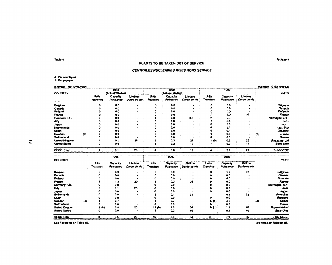### PLANTS TO BE TAKEN OUT OF SERVICE

### **CENTRALES NUCLEAIRES MISES HORS SERVICE**

#### A. Per country(a) A. Par pays(a)

Table 4

(Number - Net GWe/year) (Nombre - GWe nets/an) 1988 1989 1990 **COUNTRY** (Actual/Réelles) (Actual/Réelles) **PAYS** Lifetime Lifetime **Units** Capacity **Units** Capacity Lifetime Units Capacity Durée de vie **Tranches** Puissance Durée de vie Tranches Pulssance Durée de vie Tranches Pulssance **Belgium**  $\mathbf{o}$  $0.0$  $\alpha$  $0.0$  $\bullet$  $0.0$ Belgique  $0.0$  $\mathbf{o}$ Canada Canada  $\Omega$  $\mathbf{a}$  $0.0$ 0.0  $\mathbf{r}$  $\sim$  $\overline{a}$ Finland  $\bullet$  $0.0$  $\bullet$  $0.0$  $\bullet$ ωa Finlande  $\ddot{\phantom{a}}$  $\ddot{\phantom{a}}$  $73$  $0.0$  $5.3$ France France  $\mathbf 0$  $\overline{a}$  $\bullet$  $0.0$  $\ddot{\phantom{a}}$  $\mathcal{D}$ Germany F.R.  $0.0$  $0.3$  $\ddot{\phantom{a}}$  $\mathbf{d} \mathbf{d}$ \*/k/maune, R.F.  $\mathbf{o}$  $\mathbf{I}$  $3.5$  $\ddot{\phantom{a}}$ **rtaly**  $\mathbf{o}$  $0,0$  $\mathbf{o}$  $0.0$  $\ddot{\circ}$  $0.9$ fratr- $0,0$  $0.0$  $\bullet$  $3.0$ Japan  $\mathbf{a}$  $\mathbf{a}$ u aquisi  $\sim$ **Netherlands**  $0.0$  $0.0$  $\mathbf{a}$  $3.0$ Pays-Sus  $\mathbf{o}$  $\mathbf{o}$ Spain  $\mathbf{o}$  $0.0$  $\bullet$  $0.0$  $\overline{a}$ Ń.  $0.5$  $\sim$ Sepagne Sweden  $0.9$  $0.0$  $\mathbf{Q}$  $0.0$  $(d)$ Suede  $(d)$  $\mathbf{a}$  $\Omega$  $\mathbf{r}$  $\overline{a}$ **Switzerland** Sulazo  $0.0$  $\bullet$  $0.0$  $\bullet$  $0.0$  $\Omega$  $\ddot{\phantom{0}}$ **United Kingdom**  $\mathbf{I}$  $0.1$ 26  $\overline{\mathbf{c}}$  $0.3$ 27  $1(b)$  $0.2$ 26 Rovaume-Uni **United States**  $\mathbf{o}$  $0,0$  $0.2$  $13$  $0.9$  $17$ Etats-Unin  $\mathbf{1}$  $\blacksquare$ **OECD** fotel  $\overline{1}$  $0.1$  $\overline{26}$  $\overline{\bullet}$  $0,8$  $18$  $\overline{\bullet}$  $2.1$  $22$ Total OCDE 1995  $200$ 2005 **COUNTRY PAYS Units Units** Capacity **Lifetime Capacity** Lifetime Units **Capacity** Lifetime Tranches Puissance Durée de vie Tranches Pulssance Puissance Durée de vie Durée de vie Tranches Belgium  $\mathbf{o}$ 0.0  $\mathbf{o}$  $0.0$  $\overline{2}$  $1.7$ 30 Belgique Canada  $\mathbf{o}$  $0.0$  $\mathbf{o}$  $0.0$  $\mathbf{o}$  $0.0$ Canada  $\mathbf{r}$ Finlande Finland  $\mathbf 0$  $0.0$  $\mathbf{o}$  $0.0$  $\mathbf{o}$  $0,0$  $\ddot{\phantom{0}}$ 20  $0.2$ France France 25  $0.0\,$  $\overline{\mathbf{3}}$  $1.3$  $\bullet$  $\Omega$  $\cdot$ Germany F.R.  $\Omega$  $0.0$  $0.0$ Allemagne, R.F.  $\mathbf 0$  $\mathbf{a}$  $0.0$ **Italy**  $\overline{2}$  $1,1$ 25  $\mathbf{o}$  $0.0$  $\mathbf{a}$  $0.0$ Italie  $\overline{a}$  $0.0$  $\mathbf{o}$  $0.0$ Japon Japan  $\Omega$  $0.0$  $\Omega$  $\overline{\phantom{a}}$ ٠. **Netherlands**  $\Omega$  $0.0$  $\ddot{\phantom{a}}$  $\blacksquare$  $0.1$  $31$  $\blacksquare$  $0.4$ 32 Pava-Bas **Spain**  $\mathbf{o}$  $0.0$  $\overline{a}$  $\bullet$  $0.0$  $\mathbf{o}$  $0.0$ Espagne ÷. Sweden  $(d)$  $0.7$  $0.7$  $6(5)$  $4.6$  $(d)$  $Subde$  $\mathbf{1}$  $\ddot{\phantom{1}}$  $\mathbf{1}$  $\bullet$ ÷. **Switzerland**  $\mathbf 0$  $0.0$  $\bullet$  $0.0$  $\bullet$  $0.0$ Sulsse Royaume-Uni **United Kingdom** 25 40  $0.4$ 11 (b)  $1.6$  $34$  $8(b)$  $2(b)$  $1.1$ **United States**  $\mathbf{o}$  $0.0$  $0.2$ 40  $0.1$ 40 **Etata-Unis**  $\overline{\phantom{a}}$  $\mathbf{1}$ 1 **OECD Total**  $3.5$  $\overline{23}$ **Total OCDE**  $\overline{15}$  $2.8$  $\overline{34}$  $\overline{19}$  $7.9$  $35$  $\mathbf{a}$ 

See Footnotes on Table 4B.

Voir notes au Tableau 4B.

Tableau 4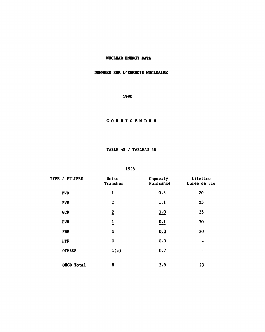# **NUCLEAR ENERGY DATA**

# **DONNBBS SUR L'ENERGIE NUCLBAIRE**

# **1990**

# **CORRIGENDU M**

# TABLE 4B / TABLEAU 4B

# 1995

| TYPE / FILIERE | Units<br>Tranches | Capacity<br>Puissance | Lifetime<br>Durée de vie |
|----------------|-------------------|-----------------------|--------------------------|
| <b>BVR</b>     | $\mathbf{1}$      | 0.3                   | 20                       |
| <b>PVR</b>     | $\mathbf{2}$      | 1.1                   | 25                       |
| <b>GCR</b>     | $\overline{2}$    | 1.0                   | 25                       |
| <b>HVR</b>     | $\overline{1}$    | 0.1                   | 30                       |
| <b>FBR</b>     | $\overline{1}$    | 0.3                   | 20                       |
| <b>HTR</b>     | $\bf{0}$          | 0.0                   |                          |
| <b>OTHERS</b>  | 1(c)              | 0.7                   |                          |
| OBCD Total     | 8                 | 3.5                   | 23                       |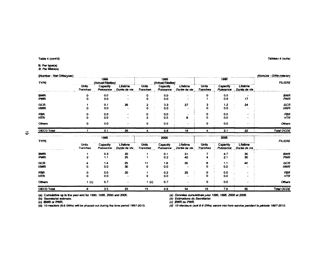Table 4 (cont'd)

B. Per type(a) **B. Par filière(a)** 

| (Number - Net GWa/year)  |                          |                          |                          |                                 |                          |                          |                          |                       |                          | (Nombre - GWe nets/an)   |
|--------------------------|--------------------------|--------------------------|--------------------------|---------------------------------|--------------------------|--------------------------|--------------------------|-----------------------|--------------------------|--------------------------|
| <b>TYPE</b>              |                          | 1988<br>(Actual/Réelles) |                          |                                 | 1989<br>(Actual/Réelies) |                          |                          | 1990                  |                          | <b>FILIERE</b>           |
|                          | <b>Units</b><br>Tranches | Capacity<br>Puissance    | Lifetime<br>Durée de vie | <b>Units</b><br><b>Tranches</b> | Capacity<br>Puissance    | Lifetime<br>Durée de vie | <b>Units</b><br>Tranches | Capacity<br>Puissance | Lifetime<br>Durée de vie |                          |
| <b>BWR</b><br><b>PWR</b> | ο                        | O.C<br>0.0               |                          | o<br>$\mathbf{o}$               | 0.0<br>0.0               |                          | $\mathbf o$              | 0.0<br>0.9            | 17                       | <b>BWR</b><br><b>PWR</b> |
|                          |                          |                          |                          |                                 |                          |                          |                          |                       |                          |                          |
| <b>GCR</b>               |                          | 0.1                      | 26                       |                                 | 0.3                      | 27                       | з                        | $1.2$                 | 24                       | GCR                      |
| <b>HWR</b>               |                          | 0,0                      |                          | O                               | 0.0                      |                          | o                        | 0.0                   |                          | <b>HWR</b>               |
| <b>FBR</b>               |                          | 0.0                      |                          | o                               | 0.0                      |                          | 0                        | 0,0                   |                          | <b>FBR</b>               |
| <b>HTR</b>               |                          | 0.0                      |                          | $\overline{2}$                  | 0.5                      | 8                        | $\mathbf o$              | O, O                  |                          | <b>HTR</b>               |
| <b>Others</b>            | o                        | 0.0                      |                          | $\mathbf{o}$                    | 0.0                      | $\bullet$                | o                        | 0.0                   |                          | Others                   |
| <b>OECD Total</b>        |                          | 0.1                      | 26                       | 4                               | 0.8                      | 18                       | $\blacktriangleleft$     | 2.1                   | 22                       | <b>Total OCDE</b>        |
| <b>TYPE</b>              |                          | 1995                     |                          |                                 | 2000                     |                          |                          | 2005                  |                          | <b>FILIERE</b>           |
|                          | <b>Units</b><br>Tranches | Capacity<br>Puissance    | Lifetime<br>Durée de vie | <b>Units</b><br>Tranches        | Capacity<br>Puissance    | Lifetime<br>Durée de vie | <b>Units</b><br>Tranches | Capacity<br>Pulssance | Lifetime<br>Durée de vie |                          |
| <b>BWR</b>               |                          | 0,3                      | 20                       |                                 | 0,1                      | 31                       |                          | 4.7                   | 30                       | <b>BWR</b>               |
| <b>PWR</b>               |                          | 1.1                      | 25                       |                                 | 0.2                      | 40                       |                          | 2.1                   | 30                       | <b>PWR</b>               |
| <b>GCR</b>               |                          | 1.4                      | 25                       | 11                              | 1.6                      | 35                       | 8                        | 1,1                   | 40                       | GCR                      |
| <b>HWR</b>               |                          | 0.0                      | 30                       | 0                               | 0,0                      |                          | O                        | 0.0                   |                          | <b>HWR</b>               |
| <b>FBR</b>               |                          | 0.0                      | 20                       |                                 | 0.2                      | 25                       | 0                        | 0.0                   |                          | <b>FBR</b>               |
| <b>HTR</b>               |                          | 0.0                      |                          | O                               | 0,0                      |                          | o                        | 0.0                   |                          | <b>HTR</b>               |
| <b>Others</b>            |                          |                          |                          |                                 |                          |                          |                          |                       |                          |                          |
|                          | 1 <sub>(c)</sub>         | 0.7                      |                          | 1 (c)                           | 0.7                      |                          | 0                        | 0.0                   |                          | <b>Others</b>            |

(a) Curriulative up to the year-end for 1990, 1995, 2000 and 2005.

(b) Secretariat estimate.

(c) BWR or PWR.

(d) 10 reactors (8.6 GWe) will be phased out during the time period 1997-2010.

(a) Données cumulatives pour 1990, 1995, 2000 et 2005.

(b) Estimations du Secrétariat.

(c) BWR ou PWR.

(d) 10 réacteurs (soit 8.6 GWe) seront mis hors service pendant la période 1997-2010.

Tableau 4 (suite)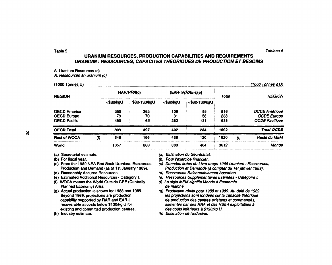**Table 5 Tableau 5** 

# **URANIUM RESOURCES, PRODUCTION CAPABILITIES AND REQUIREMENTS URANIUM: RESSOURCES, CAPACITES THEORIQUES DE PRODUCTION ET BESOINS**

### **A. Uranium Resources (c)**

**A. Ressources 9n uranium (c)** 

| $(1000$ Tonnes U)                                                |     |                  |                 |                  |                      |                   |     | (1000 Tonnes d'U)                                                   |
|------------------------------------------------------------------|-----|------------------|-----------------|------------------|----------------------|-------------------|-----|---------------------------------------------------------------------|
| <b>REGION</b>                                                    |     |                  | RAR/RRA(d)      |                  | $(EAR-I)/(RAE-I)(e)$ | Total             |     | <b>REGION</b>                                                       |
|                                                                  |     | <\$80/kaU        | \$80-130/kgU    | <\$80/kaU        | <\$80-130/kgU        |                   |     |                                                                     |
| <b>OECD America</b><br><b>OECD Europe</b><br><b>OECD Pacific</b> |     | 250<br>79<br>480 | 362<br>70<br>65 | 109<br>31<br>262 | 95<br>58<br>131      | 816<br>238<br>938 |     | <b>OCDE Amérique</b><br><b>OCDE Europe</b><br><b>OCDE Pacifique</b> |
| <b>OECD Total</b>                                                |     | 809              | 497             | 402              | 284                  | 1992              |     | <b>Total OCDE</b>                                                   |
| <b>Rest of WOCA</b>                                              | (f) | 848              | 166             | 486              | 120                  | 1620              | (1) | Reste du MEM                                                        |
| World                                                            |     | 1657             | 663             | 888              | 404                  | 3612              |     | Monde                                                               |

- **(a) Secretariat estimate.**
- **(b) For fiscal year.**
- **(c) From the 1989 NEA Red Book Uranium: Resources, Production and Demand (as of 1st January 1989).**
- **(d) Reasonably Assured Resources.**
- **(e) Estimated Additional Resources Category I.**
- **(f) WOCA means the World Outside CPE (Centrally Planned Economy) Area.**
- **(g) Actual production is shown for 1988 and 1989. Beyond 1989, projections are production capability supported by RAR and EAR-I recoverable at costs below \$130/kg U for existing and committed production centres.**
- **(h) Industry estimate.**
- **Estimation du Secretariat. (a)**
- **Pour /'exercwe financier. W**
- **Donates tirdes du Livre rouge 1989 Uranium: Ressources, (c)**  Production et Demande (à compter du 1er janvier 1989).
- **Ressources Raisonnablement Assur6es. (d)**
- **(e) Ressources Suppldmentaires Estimtes - Cat4goire I.**
- **(f) Le sigle MEM signifie Monde a Economie**  de marché.
- **(g) Production r4elle pour 1988 et 1989. Au-dela de 1989,**  les projections sont fondées sur la capacité théorique de production des centres existants et commandés, **alimentds par des RRA et des RSE-I exploitables a des couts infdrieurs a \$130/kg U.**
- **(h) Estimation de I'industrie.**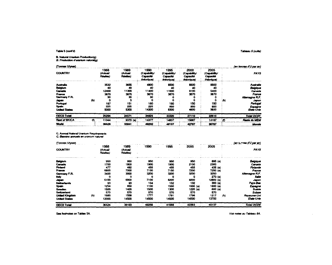### Table 5 (cont'd)

#### **B. Natural Uranium Production(g)** B. Production d'uranium naturelig)

#### **Connect United**

| 2005<br>1990<br>1988<br>1989<br>1995<br>2000<br><b>COUNTRY</b><br>(Capability/<br>(Actual/<br><b>IActual</b><br>(Capability/<br>(Capability/<br>(Capability/<br><b>Réalies</b> )<br>Réoles)<br>Capacité<br>Capacité<br>Capacité<br>Capacité<br>théorique)<br>théorique)<br>théorique)<br>théorique)<br>3655<br>4800<br>8500<br>8500<br>3532<br>8500<br>Australia<br><b>Beigkum</b><br>40<br>40<br>40<br>40<br>40<br>40<br>12400<br>11300<br>5400<br>Canada<br>11400<br>11600<br>9100<br>3870<br>3870<br>3870<br>3870<br>3870<br>3870<br><b>France</b><br>Germany F.R.<br>30<br>30<br>30<br>(b)<br>Japan<br>(၀)<br>О<br>150<br>150<br>160<br>151<br>160<br>Portugal<br>187<br><b>Spain</b><br>225<br>225<br>225<br>850<br>850<br>850<br>5300<br>14300<br>8300<br><b>United States</b><br>5000<br>4600<br>3800<br><b>OECD Total</b><br>24571<br>34825<br>25284<br>33320<br>22610<br>27110<br><b>Rest of WOCA</b><br>14377<br>m<br>9370 (a)<br>14187<br>m<br>11344<br>14837<br>15687<br><b>World</b><br>49202<br>36628<br>33941<br>36797<br>48157<br>42797 |  |  |  |  | (971.0011799.000)                                                                                                |
|---------------------------------------------------------------------------------------------------------------------------------------------------------------------------------------------------------------------------------------------------------------------------------------------------------------------------------------------------------------------------------------------------------------------------------------------------------------------------------------------------------------------------------------------------------------------------------------------------------------------------------------------------------------------------------------------------------------------------------------------------------------------------------------------------------------------------------------------------------------------------------------------------------------------------------------------------------------------------------------------------------------------------------------------------------|--|--|--|--|------------------------------------------------------------------------------------------------------------------|
|                                                                                                                                                                                                                                                                                                                                                                                                                                                                                                                                                                                                                                                                                                                                                                                                                                                                                                                                                                                                                                                         |  |  |  |  | <b>PAYS</b>                                                                                                      |
|                                                                                                                                                                                                                                                                                                                                                                                                                                                                                                                                                                                                                                                                                                                                                                                                                                                                                                                                                                                                                                                         |  |  |  |  | Australie<br><b>Belgique</b><br>Canada<br>France<br>Allemagne R.F.<br>Japon<br>Portugal<br>Espagne<br>Etats-Unis |
|                                                                                                                                                                                                                                                                                                                                                                                                                                                                                                                                                                                                                                                                                                                                                                                                                                                                                                                                                                                                                                                         |  |  |  |  | <b>Total OCDF.</b>                                                                                               |
|                                                                                                                                                                                                                                                                                                                                                                                                                                                                                                                                                                                                                                                                                                                                                                                                                                                                                                                                                                                                                                                         |  |  |  |  | <b>Rests du MEM</b>                                                                                              |
|                                                                                                                                                                                                                                                                                                                                                                                                                                                                                                                                                                                                                                                                                                                                                                                                                                                                                                                                                                                                                                                         |  |  |  |  | Monde                                                                                                            |

C. Annual Natural Uranium Requirements C. Besoins annuels en uranium naturel

(Tonnes Ulyear) 1989 1990 1988 1995 2000 2005 **COUNTRY** (Actual/ (Actual/ .<br>Réelles) **Réalas**) 950 950 950 Belgium 950 950 Canada 1700 1800 1900 1900 2100 Finland  $477$ 455 455 482 455 7000 7150 France 6800 7100 7200 3000 Germany F.R. 3400 3200 3200 3200 **Raly**  $\bullet$  $\bullet$  $\bullet$  $\bullet$  $\bullet$ 7100  $12800$  (a) Japan<br>Netherlands 6100 6900 8200 9200 93 93 104 102 102 Spain<br>Sweden 1254 850 1100 1550  $1600 (a)$ 

1500 1400 1500 1300  $1220 (a)$  $600 (a)$ Switzerland 570 570 570 570 570 570 **United Kingdom**  $(h)$ 1680 1558 1777 1791 1796  $1217$ **United States** 14500 14500 14500 14000 13700 12000 40256 42393 **OECD Total** 36524  $39103$ 41668 45137

See footnotes on Tables 5A.

Voir notes au Tableau 5A.

Tableau 5 (sulte)

*Can home and different* 

Allemagne R.F. **Raile** 

(en tunnes d'U par an)

895 (a)

 $435(a)$ 

7250 (a)

 $270(a)$ 

300 (a)

 $1600 (a)$ 

 $(h)$ 

2300

3200

**PAYS** 

**Belgique**<br>Canada

Finlande

France

Japon

Pays-Bas

Espagne<br>Suede

Elats-Unis

**Total OCDE** 

Suisse Royaume-Uni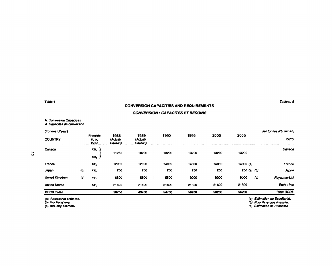### Table 6

 $\mathcal{L}^{\mathcal{A}}$ 

# **CONVERSION CAPACITIES AND REQUIREMENTS**

# **CONVERSION: CAPACITES ET BESOINS**

#### **A. Conversion Capacities**

**A CapacfMs de conversion** 

| (Tonnes Ulyear)       |     |                                                 |                              |                              |       |       |       |               | (en tonnes d'U par an) |
|-----------------------|-----|-------------------------------------------------|------------------------------|------------------------------|-------|-------|-------|---------------|------------------------|
| <b>COUNTRY</b>        |     | From/de<br>$\mathbf{U}_1 \mathbf{O}_2$<br>to/en | 1988<br>(Actual/<br>Réelles) | 1989<br>(Actual/<br>Réelles) | 1990  | 1995  | 2000  | 2005          | <b>PAYS</b>            |
| Canada                |     | $UF_6$<br>UO <sub>2</sub>                       | 11250                        | 10200                        | 13200 | 13200 | 13200 | 13200         | Canada                 |
| France                |     | UF.                                             | 12000                        | 12000                        | 14000 | 14000 | 14000 | 14000 (a)     | France                 |
| Japan                 | (b) | UF.                                             | 200                          | 200                          | 200   | 200   | 200   | 200 (a) $(b)$ | Japon                  |
| <b>United Kingdom</b> | (c) | UF.                                             | 5500                         | 5500                         | 5500  | 9000  | 9000  | 9000          | Royaume-Uni<br>  (c)   |
| <b>United States</b>  |     | UF.                                             | 21800                        | 21800                        | 21800 | 21800 | 21800 | 21800         | <b>Etats-Unis</b>      |
| <b>OECD Total</b>     |     |                                                 | 50750                        | 49700                        | 54700 | 58200 | 58200 | 58200         | <b>Total OCDE</b>      |

(a) Secretariat estimate.

(b) For fiscal year.

(c) Industry estimate.

**(a) Estimation du Secretariat.** 

**Tableau 6** 

**(b) Pour I'exercioe financier.** 

**(c) Estimation de Vindustrie.**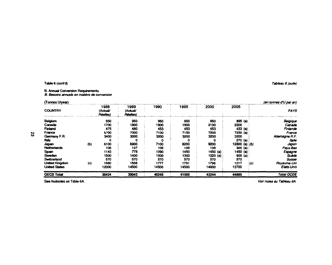**Table 6 (cont'd)** 

#### **B. Annual Conversion Requirements**

**B. Besoms annuels en matiere de conversion** 

| (Tonnes U/year)      |     |                              |                              |       |       |         |                 | (en tonnes d'U par an) |
|----------------------|-----|------------------------------|------------------------------|-------|-------|---------|-----------------|------------------------|
| <b>COUNTRY</b>       |     | 1988<br>(Actual/<br>Réelles) | 1989<br>(Actual/<br>Réelles) | 1990  | 1995  | 2000    | 2005            | <b>PAYS</b>            |
| Belgium              |     | 950                          | 950                          | 950   | 950   | 950     | 895 (a)         | Belgique               |
| Canada               |     | 1700                         | 1800                         | 1900  | 1900  | 2100    | 2200            | Canada                 |
| Finland              |     | 475                          | 480                          | 453   | 453   | 453     | 433 (a)         | Finlande               |
| France               |     | 6300                         | 7000                         | 7100  | 7150  | 7200    | 7250 (a)        | France                 |
| Germany F.R.         |     | 3400                         | 3000                         | 3200  | 3200  | 3200    | 3200            | Allemagne R.F.         |
| italy                |     | o                            |                              | ο     | Ω     |         | 270 (a)         | ltalie                 |
| Japan                | (b) | 6100                         | 6900                         | 7100  | 8200  | 9200    | 12800 (a) $(b)$ | Japon                  |
| Netherlands          |     | 106                          | 107                          | 105   | 105   | 105     | 300 (a)         | Pays-Bas               |
| Spain                |     | 1143                         | 778                          | 1090  | 1450  | 1450(a) | 1450(a)         | Espagne                |
| <b>Sweden</b>        |     | 1500                         | 1400                         | 1500  | 1300  | 1220(a) | 600<br>(u)      | Suède                  |
| Switzerland          |     | 570                          | 570                          | 570   | 570   | 570     | 570             | <b>Suisse</b>          |
| United Kingdom       | (c) | 1680                         | 1558                         | 1777  | 1791  | 1796    | 1217            | (c)<br>Royaume-Uni     |
| <b>United States</b> |     | 12000                        | 14500                        | 14500 | 14500 | 14000   | 13700           | Etats-Unis             |
| <b>OECD Total</b>    |     | 36424                        | 39043                        | 40245 | 41569 | 42244   | 44885           | <b>Total OCDE</b>      |

**See footnotes on Table 6A.** 

**Voir notes au Tableau 64.** 

**Tableau 6 (suite)**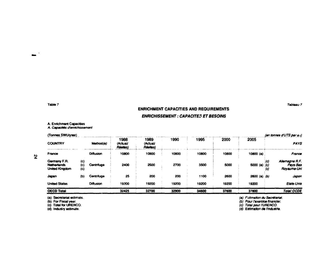### **Table 7**

**Box** 

**Tableau 7** 

# **ENRICHMENT CAPACITIES AND REQUIREMENTS ENRICHISSEMENT: CAPACITE3 ET BESOINS**

#### **A. Enrichment Capacities**

**A. Capacites d'enrichissement** 

| (en tonnes d'UTS par an)                                |                  |       |       |       |                              |                                      |                  |                                  | (Tonnes SWU/ysar)                                           |
|---------------------------------------------------------|------------------|-------|-------|-------|------------------------------|--------------------------------------|------------------|----------------------------------|-------------------------------------------------------------|
| <b>PAYS</b>                                             | 2005             | 2000  | 1995  | 1990  | 1989<br>(Actual/<br>Réelles) | 1988<br>(Actual/<br><b>Réelles</b> ) | Method (e)       |                                  | <b>COUNTRY</b>                                              |
| France                                                  | 10800 $(a)$      | 10800 | 10800 | 10800 | 10800                        | 10800                                | <b>Diffusion</b> |                                  | France                                                      |
| Allemagne R.F.<br>(c)<br>Pays-Bas<br>Royaume-Uni<br>(C) | $5000$ (a) $(c)$ | 5000  | 3500  | 2700  | 2500                         | 2400                                 | Centrifuge       | (c)<br>(c)<br>$\left( c \right)$ | Germany F.R.<br><b>Netherlands</b><br><b>United Kingdom</b> |
| Japon                                                   | 2600 (a) (b)     | 2600  | 1100  | 200   | 200                          | 25                                   | Centrifuge       | (b)                              | Japan                                                       |
| Etats-Unis                                              | 19200            | 19200 | 19200 | 19200 | 19200                        | 19200                                | <b>Diffusion</b> |                                  | <b>United States</b>                                        |
| <b>Total OCDE</b>                                       | 37600            | 37600 | 34600 | 32900 | 32700                        | 32425                                |                  |                                  | <b>OECD Total</b>                                           |

**(a) Secretariat estimate.** 

**(b) For Fiscal year.** 

**(C) Total for URENCO** 

**(d) Industry estimate.** 

**(a) Futimation du Secrétariat.** 

**(b) Pour I'exerdce financier.** 

**(c) Total pour rURENCO.** 

**(6) Estimation de I'lndustrie.** 

24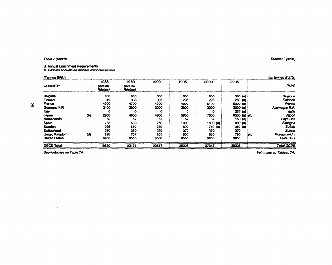### **Tabl e 7 (cont'd)**

### **B . Annua l Enrichment Requirements**

**B. Besoins annuet e e n matter\* cTenrichissement** 

| (Tonnes SWU)          |     |                              |                              |       |       |          |                |     | (en tonnes $d'U(S)$ |
|-----------------------|-----|------------------------------|------------------------------|-------|-------|----------|----------------|-----|---------------------|
| <b>COUNTRY</b>        |     | 1988<br>(Actual/<br>Réelles) | 1989<br>(Actual/<br>Réelles) | 1990  | 1995  | 2000     | 2005           |     | <b>PAYS</b>         |
| <b>Belgium</b>        |     | 600                          | 600                          | 600   | 600   | 600      | 560 (a)        |     | Belgique            |
| Finland               |     | 319                          | 308                          | 305   | 295   | 295      | 280 (a)        |     | Finlande            |
| France                |     | 4700                         | 4700                         | 4700  | 4900  | 5100     | 5300 (a)       |     | France              |
| Germany F.R.          |     | 2100                         | 2000                         | 2000  | 2000  | 2000     | 2000 (a)       |     | Allemagne R.F.      |
| <b>Italy</b>          |     | o                            |                              | o     | o     | o        | 235(a)         |     | Italie              |
| Japan                 | (b) | 2800                         | 4600                         | 4800  | 5900  | 7000     | 8500 (a) $(b)$ |     | Japon               |
| <b>Netherlands</b>    |     | 52                           | 57                           | 57    | 57    | 57       | 150 $(a)$      |     | Pays-Bas            |
| <b>Spain</b>          |     | 768                          | 539                          | 750   | 1000  | 1000 (a) | 1000 (a)       |     | Espagne             |
| Sweden                |     | 995                          | 810                          | 780   | 800   | 740 (a)  | 350 (a)        |     | Suède               |
| <b>Switzerland</b>    |     | 370                          | 370                          | 370   | 370   | 370      | 370            |     | <b>Suisse</b>       |
| <b>United Kingdom</b> | (d) | 626                          | 707                          | 655   | 805   | 685      | 780            | (d) | Royaume-Uni         |
| <b>United States</b>  |     | 6200                         | 8500                         | 8500  | 8500  | 9200     | 9800           |     | Etats-Unis          |
| <b>OECD Total</b>     |     | 19530                        | 23i9i                        | 23517 | 25227 | 27047    | 29325          |     | <b>Total OCDE</b>   |

**Se e footnotes o n Tabl e 7A.** 

 $\mathcal{O}(\mathcal{O}_\mathcal{O})$  . The contract of the contract of the contract of the contract of the contract of the contract of the contract of the contract of the contract of the contract of the contract of the contract of the co

**Voir notes au Tableau 7A.**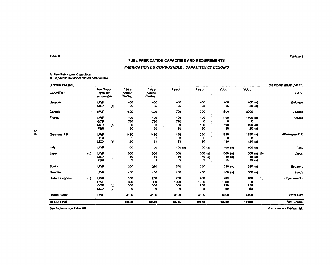### **Table 8**

**o>** 

# **FUEL FABRICATION CAPACITIES AND REQUIREMENTS**

# **FABRICATION DU COMBUSTIBLE: CAPACITES ET BESOINS**

### **A. Fuel Fabrication Capacities**

**A. Capaatss da fabrics itton du combustible** 

| <b>Total OCDE</b>        |     | 12130             | 13030       |         | 12848       | 13715               | 13613                        | 13553                        |                                            |                                      |     | <b>OECD Total</b>     |
|--------------------------|-----|-------------------|-------------|---------|-------------|---------------------|------------------------------|------------------------------|--------------------------------------------|--------------------------------------|-----|-----------------------|
| Etats-Unis               |     | 4100              | 4100        |         | 4100        | 4100                | 4100                         | 4100                         |                                            | <b>LWR</b>                           |     | <b>United States</b>  |
|                          |     | 250<br>50         | 250<br>50   | 8       | 250         | 330<br>o            | 330<br>o                     | 330<br>0                     | $\langle g \rangle$<br>$\langle 0 \rangle$ | GCR<br><b>MOX</b>                    |     |                       |
| Royaume-Uni              | (c) | 200<br>O          | 200<br>1300 |         | 200<br>1300 | 200<br>1300         | 200<br>1300                  | 200<br>1300                  |                                            | LWR<br><b>HWR</b>                    | (c) | <b>United Kingdom</b> |
| Suède                    |     | 400 (a)           | 400 (a)     |         | 400         | 400                 | 400                          | 47.0                         |                                            | LWR                                  |     | Sweden                |
| Espagne                  |     | 250(a)            | 250 (a,     |         | 250         | 250                 | 250                          | 200                          |                                            | LWR                                  |     | Spain                 |
|                          |     | 15(a)             | 15          | 5.      |             | 5                   | 5                            | 5                            |                                            | <b>FBR</b>                           |     |                       |
|                          |     | 40 (a)            | 40 (a)      | 40 (a)  |             | 10                  | 10                           | 10                           | (1)                                        | <b>MOX</b>                           |     |                       |
| Japon                    |     | 1500 (a) $(b)$    | 1500 $(a)$  | 1500(a) |             | 1500                | 1500                         | 1500                         |                                            | <b>LWR</b>                           | (b) | Japan                 |
| Italie                   |     | 100 (a)           | 100 (a)     | 100(a)  |             | 100(a)              | 100                          | 100                          |                                            | LWR                                  |     | haly                  |
|                          |     | 120 (a)           | 120         | 90      |             | 25                  | 21                           | 20                           | (e)                                        | <b>MOX</b>                           |     |                       |
| Allemagne R.F.           |     | 1250 (a)<br>0     | 1250<br>0   | o       | 1250        | 1450<br>$\mathbf 0$ | 1450                         | 1450<br>2                    |                                            | <b>LWR</b><br><b>HTR</b>             |     | Germany F.R.          |
|                          |     |                   |             |         |             |                     |                              |                              |                                            |                                      |     |                       |
|                          |     | 100 (a)<br>20 (a) | 100<br>20   | 20      | 100         | O<br>20             | 0<br>20                      | O<br>20                      | $\langle 0 \rangle$                        | <b>NOX</b><br><b>FBR</b>             |     |                       |
|                          |     | 0                 | 0           | o       |             | 790                 | 790                          | 790                          |                                            | <b>GCR</b>                           |     |                       |
| France                   |     | 1100 (a)          | 1100        |         | 1100        | 1100                | 1100                         | 1100                         |                                            | <b>LWR</b>                           |     | France                |
| Canada                   |     | 2200              | 1800        |         | 1700        | 1700                | 1600                         | 1600                         |                                            | <b>HWR</b>                           |     | Canada                |
| Belgique                 |     | 400 (a)<br>35(a)  | 400<br>35   | 35      | 400         | 400<br>35           | 400<br>35                    | 400<br>26                    | (d)                                        | LWR<br><b>MOX</b>                    |     | Belgium               |
|                          |     |                   |             |         |             |                     |                              |                              |                                            |                                      |     |                       |
| <b>PAYS</b>              |     | 2005              | 2000        |         | 1995        | 1990                | 1989<br>(Actual/<br>Réelles) | 1988<br>(Actual/<br>Réelles) |                                            | Fuel Type/<br>Type de<br>combustible |     | <b>COUNTRY</b>        |
| (en tonnes de ML par an) |     |                   |             |         |             |                     |                              |                              |                                            |                                      |     | (Tonnes HM/year)      |

**See footnotes on Table 88 Voir notes au Tableau 8B.**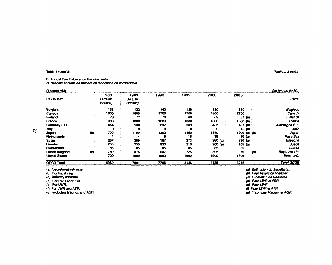#### **Tabl e 8 (cont'd)**

#### **B . Annua l Fue l Fabricatio n Requirements**

**ft Besoms annuals an matiere da fabrication da combustible** 

|  | (Tonnes HM) |  |
|--|-------------|--|
|  |             |  |

**ro** 

| (Tonnes HM)           |     |                              |                              |      |      |         |                     |     | (en tonnes de ML) |
|-----------------------|-----|------------------------------|------------------------------|------|------|---------|---------------------|-----|-------------------|
| <b>COUNTRY</b>        |     | 1988<br>(Actual/<br>Réelles) | 1989<br>(Actual/<br>Réelles) | 1990 | 1995 | 2000    | 2005                |     | <b>PAYS</b>       |
| <b>Belgium</b>        |     | 135                          | 122                          | 140  | 130  | 130     | 130                 |     | Belgique          |
| Canada                |     | 1600                         | 1600                         | 1700 | 1700 | 1800    | 2200                |     | Canada            |
| Finland               |     | 73                           | 77                           | 70   | 69   | 69      | 67<br>(a)           |     | Finlande          |
| France                |     | 900                          | 1000                         | 1000 | 1000 | 1000    | 1000(a)             |     | France            |
| Germany F.R.          |     | 464                          | 538                          | 632  | 589  | 425     | 425<br>(a)          |     | Allemagne R.F.    |
| <b>Italy</b>          |     |                              | o                            |      | 0    | o       | 40 (a)              |     | Italie            |
| Japan                 | (b) | 700                          | 1100                         | 1200 | 1450 | 1840    | 1900<br>$(a)$ $(b)$ |     | Japon             |
| <b>Netherlands</b>    |     | 14                           | 14                           | 15   | 15   | 15      | 40<br>(a)           |     | Pays-Bas          |
| Spain                 |     | 257                          | 259                          | 167  | 273  | 280 (a) | 280<br>(a)          |     | Espagne           |
| Sweden                |     | 250                          | 230                          | 230  | 210  | 200 (a) | 105 (a)             |     | Suède             |
| Switzerland           |     | 85                           | 85                           | 85   | 85   | 85      | 85                  |     | <b>Suisse</b>     |
| <b>United Kingdom</b> | (c) | 782                          | 876                          | 647  | 725  | 395     | 270                 | (c) | Royaume-Uni       |
| <b>United States</b>  |     | 1700                         | 1900                         | 1900 | 1900 | 1900    | 1700                |     | Etats-Unis        |
| <b>OECD Total</b>     |     | 6960                         | 7801                         | 7786 | 8146 | 8139    | 8242                |     | <b>Total OCDE</b> |

**(a ) Secretaria t estimate.** 

**(b ) Fo r fiscal year.** 

**(c ) Industry estimate.** 

**(d ) Fo r LW R an d FBR.** 

**(e ) Fo r LWR.** 

**(I ) Fo r LW R an d ATR.** 

**(g ) Inducin g Magno x an d AQR.** 

**(a) Estimation du Secretariat.** 

**(b) Pour rexerdce financier.** 

**(c) Estimation da I'industne.** 

**(d) Pour LWR at FBR.** 

**(a) Pour LWR.** 

**(f) Pour LWR at ATR.** 

**(g) Y compris Magnox at AQR.** 

**Tableau 8 (suite)**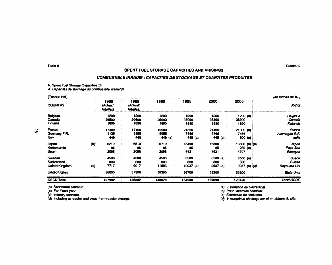### **Table 9**

# **SPENT FUEL STORAGE CAPACITIES AND ARISINGS**

# **COMBUSTIBLE IRRADIE: CAPACITES DE STOCKAGE ET QUANT1TES PRODUITES**

### **A. Spent Fuel Storage Capacities(d)**

A. Capacités de stockage du combustible irradié(d)

| (Tonnes HM) |  |
|-------------|--|
|             |  |

| (Tonnes HM)           |     |                              |                                      |         |          |           |                  | (en tonnes de ML) |
|-----------------------|-----|------------------------------|--------------------------------------|---------|----------|-----------|------------------|-------------------|
| <b>COUNTRY</b>        |     | 1988<br>(Actual/<br>Réelles) | 1989<br>(Actual/<br><b>Réelles</b> ) | 1990    | 1995     | 2000      | 2005             | <b>PAYS</b>       |
| <b>Belgium</b>        |     | 1200                         | 1200                                 | 1200    | 1200     | 1200      | 1200 (a)         | Belgique          |
| Canada                |     | 25500                        | 29600                                | 29600   | 37900    | 38400     | 38900            | Canada            |
| Finland               |     | 1890                         | 1890                                 | 1890    | 1890     | 1890      | 1890             | Finlande          |
| France                |     | 17400                        | 17400                                | 19900   | 21300    | 21400     | $21900$ (a)      | France            |
| Germany F.R.          |     | 4135                         | 5955                                 | 5955    | 7466     | 7466      | 7466             | Allemagne R.F.    |
| <b>Italy</b>          |     | 449                          | 449                                  | 449 (a) | 449 (a)  | 449 $(a)$ | 600 (a)          | ltalie            |
| Japan                 | (b) | 6210                         | 6510                                 | 6710    | 13490    | 16800     | 19800 (a) $(b)$  | Japon             |
| <b>Netherlands</b>    |     | 85                           | 85                                   | 85      | 85       | 85        | 230 (a)          | Pays-Bas          |
| <b>Spain</b>          |     | 2096                         | 2096                                 | 2096    | 4421     | 4921      | 4707             | Espagne           |
| Sweden                | (c) | 4500                         | 4500                                 | 4500    | 6500     | 6500 (a)  | 6500 (a)         | Suède             |
| Switzerland           |     | 800                          | 800                                  | 800     | 800      | 800       | 800              | <b>Suisse</b>     |
| <b>United Kingdom</b> |     | 7717                         | 9017                                 | 11593   | 10037(a) | 9987 (a)  | 9987 $(a)$ $(c)$ | Royaume-Uni       |
| <b>United States</b>  |     | 56000                        | 57300                                | 58300   | 58700    | 59200     | 59200            | Etats-Unis        |
| <b>OECD Total</b>     |     | 127982                       | 136802                               | 143078  | 164238   | 169098    | 173180           | <b>Total OCDE</b> |

**(a) Secretariat estimate.** 

**(b) For Fiscal year.** 

**(c) Industry estimate.** 

**(d) Indudng at reactor and away-from-reactor storage.** 

**(a) Estimation du Secretariat.** 

**(b) Pour I'exerdce financier.** 

**(c) Estimation de I'industrie.** 

**(d) Y compris le stockage sur et en-dehors du site.**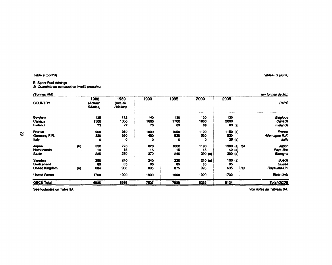**Table 9 (cont'd)** 

### **B. Spent Fuel Arisings**

B. Quantités de combustiNe irradié produites

| (en tonnes de ML)                            |     |                                       |             |                       |                   |                   |                                   |                              |     | (Tonnes HM)                                           |
|----------------------------------------------|-----|---------------------------------------|-------------|-----------------------|-------------------|-------------------|-----------------------------------|------------------------------|-----|-------------------------------------------------------|
| <b>PAYS</b>                                  |     |                                       | 2005        | 2000                  | 1995              | 1990              | 1989<br>(Actual/<br>Réelles)      | 1988<br>(Actual/<br>Réelles) |     | <b>COUNTRY</b>                                        |
| Belgique<br>Canada<br>Finlande               |     | 69 (a)                                | 130<br>2000 | 130<br>1800<br>69     | 130<br>1700<br>69 | 140<br>1600<br>70 | 122<br>1300<br>$\boldsymbol{\pi}$ | 135<br>1500<br>73            |     | <b>Belgium</b><br>Canada<br>Finland                   |
| France<br>Allemagne R.F.<br>Italie           |     | 1150 $(a)$<br>25(a)                   | 530         | 1100<br>530<br>0      | 1050<br>530       | 1000<br>490<br>O  | 950<br>360<br>O                   | 900<br>320<br>$\mathbf{o}$   |     | France<br>Germany F.R.<br><b>Italy</b>                |
| Japon<br>Pays-Bas<br>Espagne                 |     | 1380 (a) $ $ (b)<br>40 (a)<br>290 (a) |             | 1190<br>15<br>290 (a) | 1000<br>15<br>246 | 820<br>15<br>272  | 770<br>15<br>270                  | 830<br>14<br>235             | (b) | Japan<br><b>Netherlands</b><br><b>Spain</b>           |
| <b>Suède</b><br><b>Suisse</b><br>Royaume-Uni | (a) | 100(a)<br>85                          | 635         | 210(a)<br>85<br>920   | 220<br>85<br>875  | 240<br>85<br>895  | 240<br>85<br>900                  | 250<br>85<br>884             | (a) | <b>Sweden</b><br>Switzerland<br><b>United Kingdom</b> |
| <b>Etats-Unis</b>                            |     |                                       | 1700        | 1900                  | 1900              | 1900              | 1900                              | 1700                         |     | <b>United States</b>                                  |
| <b>Total OCDE</b>                            |     |                                       | 8134        | 8239                  | 7820              | 7527              | 6989                              | 6926                         |     | <b>OECD Total</b>                                     |

**See footnotes on Table 9A.** 

Voir notes au Tableau 9A.

Tableau 9 (suite)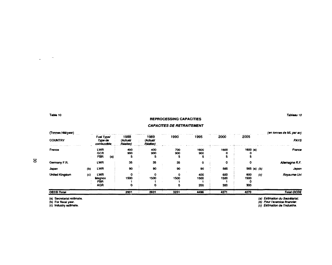### **Tableau 10**

### **REPROCESSING CAPACITIES**

# **CAPACITES DE RETRAITEMENT**

**(en tonnes de ML par an) Fuel Type/ 1988 1989 1990 1995 2000 2005 PAYS Type de (Actual/ (Actual/ COUNTRY combustible . Reelles) RMIes)**  ستدم ستبدأ الأراديات **Franca France LWR 400 400 700 1600 1600 1600 (a) OCR 900 900 900 900 0 , 0 FBR (a) 5 5 5 5 5 5 AJIemagne R.F. Germany F.R. LWR 35 35 0 0 35 0 i Japon Japan LWR 90 90 90 90 565 565 (a) (b) (b) Royaume-Unl United Kingdom LWR 0 0 0 600 1 600 (c) 400 (c) Magnox 1500 1500 1500 1500 1500 1500 FBR 1 1 0 1 1 1** *<b>i* **AGR 0 0 300 300 0 200 OECD Total 2931 3231 4496 | 4271 : 4270 Total OCDE 2931** 

**(a) Secretariat estimate.** 

**(b) For fiscal year.** 

**(c) Industry estimate.** 

**(a) Estimation du Secretariat** 

**(b) Pour I exerdoe financier.** 

**(c) Estimation d\*/Industrie.** 

|                       | <i><b>CAPACITES DE RETRAITEMENT</b></i> |                                                         |                              |                                      |            |                    |                    |                           |
|-----------------------|-----------------------------------------|---------------------------------------------------------|------------------------------|--------------------------------------|------------|--------------------|--------------------|---------------------------|
| (Tonnes HM/year)      |                                         |                                                         |                              |                                      |            |                    |                    | (en                       |
| <b>COUNTRY</b>        |                                         | Fuel Type/<br>Type de<br>combustible                    | 1988<br>(Actual/<br>Réelles) | 1989<br>(Actual/<br><b>Réelles</b> ) | 1990       | 1995               | 2000               | 2005                      |
| France                |                                         | LWR<br><b>GCR</b><br><b>FBR</b><br>(a)                  | 400<br>900<br>5              | 400<br>900                           | 700<br>900 | 1600<br>900        | 1600<br>O          | 1600 (a)                  |
| Germany F.R.          |                                         | <b>LWR</b>                                              | 35                           | 35                                   | 35         | 0                  | o                  |                           |
| Japan                 | (b)                                     | LWR                                                     | 90                           | 90                                   | 90         | 90                 | 565                | 565 (a) (b)               |
| <b>United Kingdom</b> | (c)                                     | <b>LWR</b><br><b>Magnox</b><br><b>FBR</b><br><b>AGR</b> | o<br>1500<br>o               | 1500                                 | 1500       | 400<br>1500<br>200 | 600<br>1500<br>300 | 600<br>(c)<br>1500<br>300 |

 $\frac{1}{\sqrt{2}}$  ,  $\frac{1}{\sqrt{2}}$  ,  $\frac{1}{\sqrt{2}}$ 

**Table 10**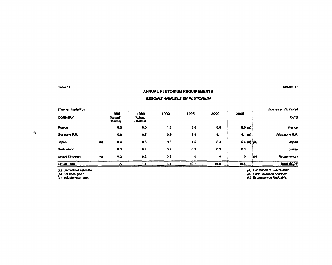### **Table 11**

# **ANNUAL PLUTONIUM REQUIREMENTS**

# **BESOINS ANNUELS EN PLUTONIUM**

| (Tonnes fissile Pu)   |     |                                      |                                      |      |      |      |             |     | (tonnes en Pu fissile) |
|-----------------------|-----|--------------------------------------|--------------------------------------|------|------|------|-------------|-----|------------------------|
| <b>COUNTRY</b>        |     | 1988<br>(Actual/<br><b>Réelies</b> ) | 1989<br>(Actual/<br><b>Réelles</b> ) | 1990 | 1995 | 2000 | 2005        |     | <b>PAYS</b>            |
| France                |     | 0.0                                  | 0.0                                  | 1.5  | 6.0  | 6.0  | 6.0 $(a)$   |     | France                 |
| Germany F.R.          |     | 0.6                                  | 0.7                                  | 0.9  | 2.9  | 4.1  | 4.1 (a)     |     | Allemagne R.F.         |
| Japan                 | (b) | 0.4                                  | 0.5                                  | 0.5  | 1.5  | 5.4  | 5.4 (a) (b) |     | <b>Japon</b>           |
| Switzerland           |     | 0.3                                  | 0.3                                  | 0.3  | 0.3  | 0.3  | 0.3         |     | <b>Suisse</b>          |
| <b>United Kingdom</b> | (c) | 0.2                                  | 0.2                                  | 0.2  | O    | 0    | 0           | (c) | Royaume-Uni            |
| <b>OECD Total</b>     |     | 1.5                                  | I .7                                 | 3.4  | 10.7 | 15.8 | 15.8        |     | Total OCDE             |

**(a) Secretariat estimate.** 

**(b) For fiscal year.** 

**(c) Industry estimate.** 

**(a) Estimation du Secretariat.** 

**Tableau 11** 

**(b) Pour I'exercice financier.** 

**(c) Estimation oe I'industhe.**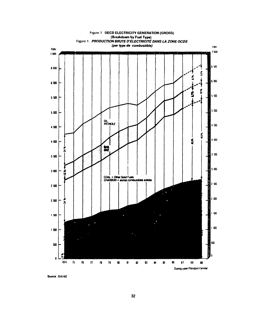

Source: IEA/AIE.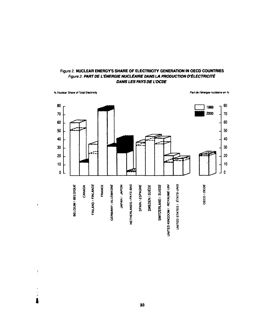# Figure 2. NUCLEAR ENERGY'S SHARE OF ELECTRICITY GENERATION IN OECD COUNTRIES Figure 2. PART DE L'ÉNERGIE NUCLÉAIRE DANS LA PRODUCTION D'ÉLECTRICITÉ DANS LES PAYS DE L'OCDE

% Nuclear Share of Total Electricity

 $\ddot{\phantom{0}}$ 

ł

 $\ddot{\phantom{1}}$ 

## Part de l'énergie nucléaire en %

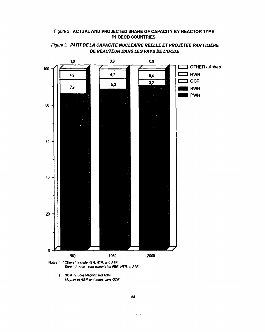# **Figure 3. ACTUAL AND PROJECTED SHARE OF CAPACITY BY REACTOR TYPE IN OECD COUNTRIES**



# **Figure 3. PART DE LA CAPACITÉ NUCLÉAIRE RÉELLE ET PROJETÉE PAR FILIÈRE DE REACTEUR DANS LES PA YS DE L'OCDE**

Dans' Autres' sont compris les FBR, HTR, et ATR.

**2. GCR Includes Magnox and AGR. Magnox et AGR sont Indus dans GCR.** 

المسادر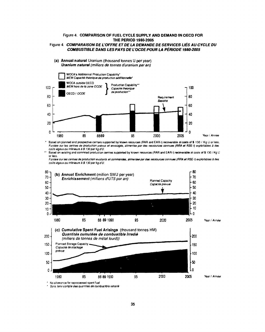# Figure 4 **COMPARISON OF FUEL CYCLE SUPPLY AND DEMAND IN OECD FOR THE PERIOD 1980-2005**  Figure 4 **COMPARISON DE UOFFRE ET DE LA DEMANDE DE SERVICES LIES AU CYCLE DU COMBUSTIBLE DANS LES PAYS DE L'OCDE POUR LA PERIODE1980-2005**





Based on planned and prospective centers supported by known resources (RAR and EAR-I) recoverable at costs of \$ 130 / Kg U or less. Fondée sur les centres de production prévus et envisagés, alimentée par des ressources connues (RRA et RSE-I) exploitables à des **coiils egaux ou inlerieurs AS 130 par kg d'U.** 

**" Based on existing and commited production centres supported by Known resources (RAR and EAR-I) recoverable at costs of \$ 130 / Kg U or less.** 

**Fondee sur les centres de production existants et commandos, alimentee par das ressources connues (RRA et RSE-I) exploitables a des cods egaux ou inlerieurs a\$ 130 par kg d'U.** 





Sans tenir comple des quantités de combustible retraité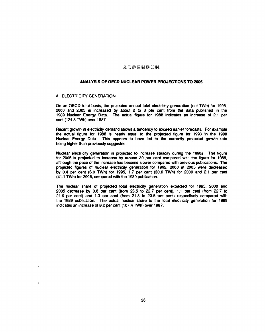# **& ® © i M ® y (Mi**

## **ANALYSIS OF OECD NUCLEAR POWER PROJECTIONS TO 2005**

### A. ELECTRICITY GENERATION

**t** 

On an OECD total basis, the projected annual total electricity generation (net TWh) for 1995, 2000 and 2005 is increased by about 2 to 3 per cent from the data published in the 1989 Nuclear Energy Data. The actual figure for 1988 indicates an increase of 2.1 per cent (124.8 TWh) over 1987.

Recent growth in electricity demand shows a tendency to exceed earlier forecasts. For example the actual figure for 1988 is nearly equal to the projected figure for 1990 in the 1988 Nuclear Energy Data. This appears to have led to the currently projected growth rate being higher than previously suggested.

Nuclear electricity generation is projected to increase steadily during the 1990s. The figure for 2005 is projected to increase by around 30 per cent compared with the figure for 1989, although the pace of the increase has become slower compared with previous publications. The projected figures of nuclear electricity generation for 1995, 2000 et 2005 were decreased by 0.4 per cent (6.0 TWh) for 1995, 1.7 per cent (30.0 TWh) for 2000 and 2.1 per cent (41.1 TWh) for 2005, compared with the 1989 publication.

The nuclear share of projected total electricity generation expected for 1995, 2000 and 2005 decrease by 0.8 per cent (from 23.5 to 22.7 per cent), 1.1 per cent (from 22.7 to 21.6 per cent) and 1.3 per cent (from 21.8 to 20.5 per cent) respectively compared with the 1989 publication. The actual nuclear share to the total electricity generation for 1988 indicates an increase of 8.2 per cent (107.4 TWh) over 1987.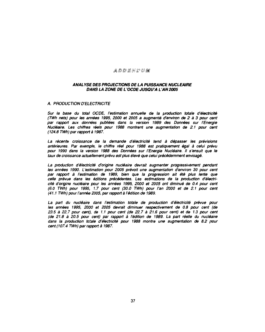# *&®®(EM@WM*

# **ANALYSE DES PROJECTIONS DE LA PUISSANCE NUCLEAIRE DANS LA ZONE DE L'OCDE JUSQU'A L'AN 2005**

### A. PRODUCTION D'ELECTRICITE

Sur la base du total OCDE, l'estimation annuelle de la production totale d'électricité (TWh nets) pour les ann6es 1995, 2000 et 2005 a augmente d'environ de 2 a 3 pour cent par rapport aux donnees publiees dans la version 1989 des Donnees sur I'Energie Nucléaire. Les chiffres réels pour 1988 montrent une augmentation de 2.1 pour cent (124.8 TWh) par rapport à 1987.

La récente croissance de la demande d'électricité tend à dépasser les prévisions antérieures. Par exemple, le chiffre réel pour 1988 est pratiquement égal à celui prévu pour 1990 dans la version 1988 des Données sur l'Energie Nucléaire. Il s'ensuit que le taux de croissance actuellement prévu est plus élevé que celui précédemment envisagé.

La production d'électricité d'origine nucléaire devrait augmenter progressivement pendant les années 1990. L'estimation pour 2005 prévoit une augmentation d'environ 30 pour cent par rapport à l'estimation de 1989, bien que la progression ait été plus lente que celle prévue dans les éditions précédentes. Les estimations de la production d'électricité d'origine nucléaire pour les années 1995, 2000 et 2005 ont diminué de 0.4 pour cent (6.0 TWh) pour 1995, 1.7 pour cent (30.0 TWh) pour I'an 2000 et de 2.1 pour cent (41.1 TWh) pour I'annee 2005, par rapport a I'edition de 1989.

La part du nucléaire dans l'estimation totale de production d'électricité prévue pour les années 1995, 2000 et 2005 devrait diminuer respectivement de 0.8 pour cent (de 23.5 a 22.7 pour cent), de 1.1 pour cent (de 22.7 a 21.6 pour cent) et de 1.3 pour cent (de 21.8 à 20.5 pour cent) par rapport à l'édition de 1989. La part réelle du nucléaire dans la production totale d'électricité pour 1988 montre une augmentation de 8.2 pour cent (107.4 TWh) par rapport à 1987.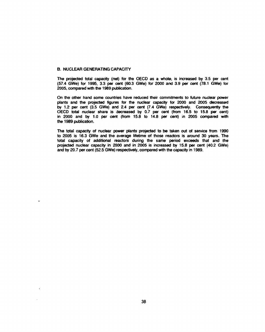# **B. NUCLEAR GENERATING CAPACITY**

**The projected total capacity (net) for the OECD as a whole, is increased by 3.5 per cent (57.4 GWe) for 1995, 3.3 per cent (60.3 GWe) for 2000 and 3.9 per cent (78.1 GWe) for 2005, compared with the 1989 publication.** 

**On the other hand some countries have reduced their commitments to future nuclear power plants and the projected figures for the nuclear capacity for 2000 and 2005 decreased by 1.2 per cent (3.5 GWe) and 2.4 per cent (7.4 GWe) respectively. Consequently the OECD total nuclear share is decreased by 0.7 per cent (from 16.5 to 15.8 per cent) in 2000 and by 1.0 per cent (from 15.8 to 14.8 per cent) in 2005 compared with the 1989 publication.** 

**The total capacity of nuclear power plants projected to be taken out of service from 1990 to 2005 is 16.3 GWe and the average lifetime of those reactors is around 30 years. The total capacity of additional reactors during the same period exceeds that and the projected nuclear capacity in 2000 and in 2005 is increased by 15.8 per cent (40.2 GWe) and by 20.7 per cent (52.5 GWe) respectively, compared with the capacity in 1989.**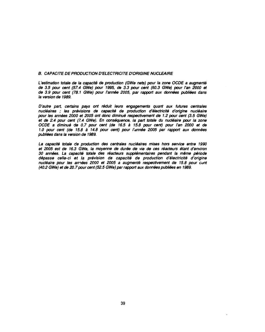### **B. CAPACITE DE PRODUCTION D'ELECTRICITE D'ORIGINE NUCLEAIRE**

L'estimation totale de la capacité de production (GWe nets) pour la zone OCDE a augmenté **de 3.5 pour cent (57.4 GWe) pour 1995, de 3.3 pour cent (60.3 GWe) pour I'an 2000 et**  de 3.9 pour cent (78.1 GWe) pour l'année 2005, par rapport aux données publiées dans **la version de 1989.** 

D'autre part, certains pays ont réduit leurs engagements quant aux futures centrales nucléaires ; les prévisions de capacité de production d'électricité d'origine nucléaire pour les années 2000 et 2005 ont donc diminué respectivement de 1.2 pour cent (3.5 GWe) **et de 2.4 pour cent (7.4 GWe). En consequence, la part totale du nud6aire pour la zone OCDE a diminue' de 0.7 pour cent (de 16.5 a 15.8 pour cent) pour I'an 2000 et de 1.0 pour cent (de 15.8 a 14.8 pour cent) pour I'annGe 2005 par rapport aux donn6e\$ publi6es dans la version de 1989.** 

La capacité totale de production des centrales nucléaires mises hors service entre 1990 et 2005 est de 16.3 GWe, la moyenne de durée de vie de ces réacteurs étant d'environ 30 années. La capacité totale des réacteurs supplémentaires pendant la même période dépasse celle-ci et la prévision de capacité de production d'électricité d'origine nucléaire pour les années 2000 et 2005 a augmenté respectivement de 15.8 pour cent (40.2 GWe) et de 20.7 pour cent (52.5 GWe) par rapport aux données publiées en 1989.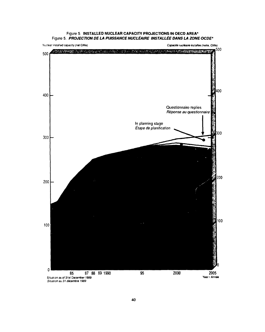

## **Figure 5 INSTALLED NUCLEAR CAPACITY PROJECTIONS IN OECD AREA\* Figure 5. PROJECTION DE LA PUISSANCE NUCLEAIRE INSTALLEE DANS LA ZONE OCDE\***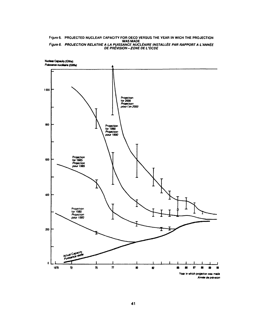# Figure 6. PROJECTED NUCLEAR CAPACITY FOR OECD VERSUS THE YEAR IN WICH THE PROJECTION **WAS MADE** Figure 6. PROJECTION RELATIVE A LA PUISSANCE NUCLÉAIRE INSTALLÉE PAR RAPPORT A L'ANNÉE<br>DE PRÉVISION – ZONE DE L'OCDE

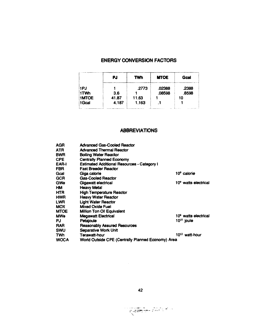# **ENERGY CONVERSION FACTORS**

|                      | PJ           | TWh   | <b>MTOE</b> | <b>G</b> cal |
|----------------------|--------------|-------|-------------|--------------|
| 1PJ                  |              | .2773 | .02388      | .2388        |
| 1TWh<br><b>IMTOE</b> | 3.6<br>41.87 | 11.63 | .08598      | .8598<br>10  |
| 1Gcal                | 4.187        | 1.163 |             |              |

# **ABBREVIATIONS**

| AGR         | <b>Advanced Gas-Cooled Reactor</b>                 |                                  |
|-------------|----------------------------------------------------|----------------------------------|
| <b>ATR</b>  | <b>Advanced Thermal Reactor</b>                    |                                  |
| <b>BWR</b>  | <b>Boiling Water Reactor</b>                       |                                  |
| <b>CPE</b>  | <b>Centrally Planned Economy</b>                   |                                  |
| EAR-I       | <b>Estimated Additional Resources - Category I</b> |                                  |
| <b>FBR</b>  | <b>Fast Breeder Reactor</b>                        |                                  |
| Gcal        | Giga calorie                                       | 10 <sup>9</sup> calorie          |
| <b>GCR</b>  | <b>Gas-Cooled Reactor</b>                          |                                  |
| <b>GWe</b>  | Gigawatt electrical                                | 10 <sup>9</sup> watts electrical |
| <b>HM</b>   | <b>Heavy Metal</b>                                 |                                  |
| HTR.        | <b>High Temperature Reactor</b>                    |                                  |
| <b>HWR</b>  | <b>Heavy Water Reactor</b>                         |                                  |
| <b>LWR</b>  | <b>Light Water Reactor</b>                         |                                  |
| <b>MOX</b>  | Mixed Oxide Fuel                                   |                                  |
| <b>MTOE</b> | <b>Million Ton Oil Equivalent</b>                  |                                  |
| <b>MWe</b>  | <b>Megawatt Electrical</b>                         | 10 <sup>6</sup> watts electrical |
| PJ.         | Petajoule                                          | $10^{15}$ joule                  |
| <b>RAR</b>  | <b>Reasonably Assured Resources</b>                |                                  |
| <b>SWU</b>  | <b>Separative Work Unit</b>                        |                                  |
| TWh         | Terawatt-hour                                      | 10 <sup>12</sup> watt-hour       |
| <b>WOCA</b> | World Outside CPE (Centrally Planned Economy) Area |                                  |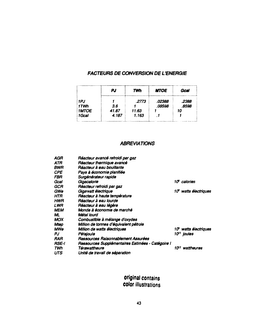# **FACTEURS DE CONVERSION DE L'ENERGIE**

|              | PJ    | TWh   | <b>MTOE</b> | Gcal  |
|--------------|-------|-------|-------------|-------|
| 1PJ          |       | .2773 | .02388      | .2388 |
| 1TWh         | 3.6   |       | .08598      | .8598 |
| <b>IMTOE</b> | 41.87 | 11.63 |             | 10    |
| 1 Gcal       | 4.187 | 1.163 |             |       |

# **ABREVIATIONS**

| AGR          | Réacteur avancé refroidi par gaz                  |      |                                   |
|--------------|---------------------------------------------------|------|-----------------------------------|
| ATR          | Réacteur thermique avancé                         |      |                                   |
| BWR          | Réacteur à eau bouillante                         |      |                                   |
| CPE          | Pays à économie planifiée                         |      |                                   |
| FBR          | Surgénérateur rapide                              |      |                                   |
| Gcal         | Gigacalorie                                       |      | 10 <sup>e</sup> calories          |
| GCR          | Réacteur refroidi par gaz                         |      |                                   |
| GWe          | Gigawatt électrique                               |      | 10° watts électriques             |
| HTR          | Réacteur à haute température                      |      |                                   |
| HWR          | Réacteur à eau lourde                             |      |                                   |
| LWR          | Réacteur à eau légère                             |      |                                   |
| <b>MEM</b>   | Monde à économie de marché                        |      |                                   |
| ML           | Métal lourd                                       |      |                                   |
| <b>MOX</b>   | Combustible à mélange d'oxydes                    |      |                                   |
| <b>Mtep</b>  | Million de tonnes d'équivalent pétrole            |      |                                   |
| MWe          | Million de watts électriques                      |      | 10 <sup>6</sup> watts électriques |
| PJ           | Pétajoule                                         |      | 10 <sup>15</sup> joules           |
| RAR          | Ressources Raisonnablement Assurées               |      |                                   |
| <b>RSE-I</b> | Ressources Supplémentaires Estimées - Catégoire l |      |                                   |
| TWh          | Térawattheure                                     | 10'' | wattheures                        |
| UTS          | Unité de travail de séparation                    |      |                                   |

# **original contains color illustrations**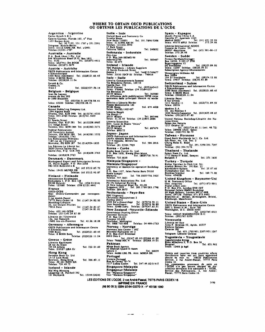### WHERE TO OBTAIN OECD PUBLICATIONS OÙ OBTENIR LES PUBLICATIONS DE L'OCDE

Argentina - Argentine<br>Carlos Hirsch S.R.L. Carlos Hirsch S.R.L.<br>Caleria Güemes, Florida 165, 4° Piso<br>1333 Buenos Aires<br>Tel. 30.7122, 331.1787 y 331.2391<br>Telegram: Hirsch-Baires<br>Telex: 21112 UAPE-AB. Ret. s/2901<br>Teletax: (1)331-1787 Australia - Australie Australia - Australie<br>
D.A. Book (Aust.) Ply. Ltd.<br>
648 Whitehorse Road (P.O. Box 163)<br>
Vic. 3132<br>
Tel. (03)873.4411<br>
Telex: AA37911 DA BOOK<br>
Tel. (03)873.5679 Austria - Autriche OECD Publications and Information Centre Schnockstrasse<br>
1900 Bonn (Germany) Tel. (0228)21.60.45<br>
Telex: 8 86300 Bonn<br>
Telex: (0228)26.11.04 Gerold & Co.<br>Graben 31<br>Wien I Tel. (0222)533.50.14 Belgium - Belgique **Bergium – Bergingweitherry<br>
Jean De Lannoy<br>
Avenue du Roi 202<br>
B-1060 Bruxelles<br>
Tel. (02)538.51.69/538.08.41<br>
Telex: 63220 Telefax: (02)538.08.41** Canada<br>
Renoul Publishing Company Ltd.<br>
Renoul Publishing Company Ltd.<br>
1294 Algoma Road<br>
Ottawa, Ont. K1B 3W8 Tel. (613)741.5439<br>
Telex: 053-4783 Telefax: (613)741.5439<br>
Store:<br>
61 Sparks Street<br>
Ottawa, Ont. K1P 5R1 Tel Canada Moustras, a v nor am the life<br>1012 Chemin Sainte-Foy<br>3020 Chemin Sainte-Foy<br>Sainte-Foy, P.Q. G1X 3V6<br>114. (418)658.3763 Telefax: (418)658.3763 Denmark - Danemark Detirium Te Datieral Subscription Service<br>35, Norre Sogade, P.O. Box 2148<br>DK-1016 Kobenhavn K<br>Tel. (45 33)12.85.70<br>Telex: 19431 MUNIXS DK<br>Telex: (45 33)12.93.87 Finland - Finlande Akateeminen Kirjatauppa<br>Keskuskatu 1, P.O. Box 128<br>00100 Helsinki<br>00100 Helsinki<br>Telex: 125080 Telefax: (358 0)121.4441 France France<br>
OECD/OCDE<br>
OECD/OCDE<br>
Sail Orders/Commandes par correspondance:<br>
2 rue André-Pascal<br>
25775 Paris Cedex 16 Tel. (1)45.24.82.00<br>
Bookshop/Librairie:<br>
33, rue Octave-Feuillet<br>
Tel. (1)45.24.81.81<br>
(1)45.24.81.81 Telex: 620 160 OCDE (1)45.24.81.81<br>
Telefax: (33-1)45.24.85.00<br>
Librairie de l'Université<br>
12a, rue Nazareth<br>
13602 Aix-en-Provence Tel. 42.26.18.08 Germany - Allemagne OECD Publications and Information Centre<br>4 Simrocks:rasse<br>5300 Bonn<br>Telex: 8 86300 Bonn<br>Telefax: (0228)26.11.04<br>Telefax: (0228)26.11.04 Greece - Grèce Libraire Kauffmann<br>28 rue du Stade<br>105 64 Athens<br>Telex: 218187 LIKA Gr Tel. 322.21.60 Hong Kong Fiving Nook Co. Ltd<br>13-15 Lock Road<br>Kowloon, Hong Kong<br>Telex: 50. 441 SWIN HX<br>Telex: 739. 49.75 Tel. 366.80.31 Iceland - Islande Mal Mog Menning<br>Mal Mog Menning<br>Laugavegi 18, Postholf 392<br>121 Reykjavík – Tel. 15199/24240

India - Inde **inuis - Inde<br>
Oxford Book and Stationery Co.**<br>
Oxford Bouse<br>
New Delhi 110001<br>
New Delhi 110001<br>
Telex: 31 61990 AM IN<br>
Telex: 111332.5993<br>
Cheutta 700016<br>
Calcutta 700016<br>
Cheutta 700016<br>
Cheutta 70016<br>
Cheutta 70016<br>
Ch Indonesia - Indonésie Pdii-Lipi<br>P.O. Box 269/JKSMG/88<br>Jakarta12790<br>Telex: 62 875 Tel. 583467 Feixe of Service Triande<br>
Inc. The History Suppliers<br>
TDC Publishers – Library Suppliers<br>
12 North Frederick Street<br>
Dublin 1<br>
Telex: 33530 TDCP EI Telefax : 748416 Italy  $-$  Italie Italy - Italie<br>
1 interior Communionaria Sansoni<br>
Via Benedetto Fertini, 120/10<br>
Casella Post. 532<br>
50125 Firenze<br>
1 Tel. (055)645415<br>
1 Telex. 570466 Telefax: (39.55)641257<br>
20155 Milano<br>
2015 Milano<br>
2015 Milano<br>
2015 Mi da:<br>Editrice e Libreria Herder<br>Editrice e Libreria Herder<br>Piazza Montecitorio 120<br>Telex: NATEL 1 621427 Tel. 679.4628 Final Borbi<br>
Libreria Hoepli<br>
Via Hoepli 5<br>
Tel. 865446<br>
Telex: 31.33.95 Telefax: (39.2)805.2886 Feiex: 31.33.93 Feienx: (39.<br>Libreria Scientifica<br>Dott. Lucio de Biasio "Aeiou"<br>Via Meravigli 16<br>20123 Milano<br>Telefax: 800175 Tel. 807679 Freistal. Source<br>
Japan- Japon<br>
OECD Publications and Information Centre<br>
Landic Akasaka Building<br>
2-3-4 Akasaka, Minato-ku<br>
Telefax: (81.3)584.7929<br>
Tel. 586.201 Tel. 586.2016 Fereixa. (81.3)309, 7525<br>
Kyobo Book Centre Co. Ltd.<br>
Ryobo Book Centre Co. Ltd.<br>
Scoul<br>
Scoul Tel. (REP)730.78.91<br>
Tel. (REP)730.78.91 Malaysia/Singapore -Malaisie/Singapour University of Malaya Co-operative Bookshop<br>Ltd.<br>P.O. Box 1127, Jalan Pantai Baru 59100 nuais Lumpur<br>Malaysia (1971)<br>Telefax: 757,3661 INCRETA: 157,3001<br>Information Publications Ptc. Ltd.<br>Pei-Fu Industrial Building<br>24 New Industrial Road No. 02-06<br>Singapore 1953<br>Telefax: 284,8875<br>Telefax: 284,8875 Netherlands - Pays-Bas SDU Uligeverij<br>
Christopher - a system 2<br>
Christopher - a system 2<br>
2500 EA's-Gravenhage - Tel. (070)78.99.11<br>
2500 EA's-Gravenhage - Tel. (070)78.98.80<br>
Yeor bestellingen:<br>
Tel. (070)78.98.80<br>
Telex: 32486 stdru - Telefax New Zealand -Nouvelle-Zélande New Zealand - November 2012<br>
Covernment Printing Office<br>
Customer Services<br>
P.O. Box 12-411<br>
Preepost 10-50<br>
Therndon, Wellington<br>
Tel. 0800 733-406<br>
Tel. 0800 733-406<br>
Tel. 0800 733-406 Tel. 0800 733-406 Telefax: 04 499-1733<br>
Narvcsen Info Center - NIC<br>
Narvcsen Info Center - NIC<br>
Bertrand Narvesens vei 2<br>
P.O. Box 6125 Etterstad<br>
0602 Oslo 6<br>
Tel. (02)67.83.10/(02)68.40.20<br>
Telex: 79668 NIC N Teletax: ( Pakistan Mirza Book Agency<br>65 Shahrah Quaid-E-Azam Lahore 3 - 1211 - 1211 - 1211 - 1211 - 1212 - 1212 - 1212 - 1212 - 1212 - 1212 - 1212 - 1212 - 1212 - 1212 - 1<br>Telex: 44886 UBL PK, Attn: MIRZA BK 18182: Neon Maria ...<br>
Portugal<br>
Elvraria Portugal<br>
Rua do Carmo 70–74<br>
1117 Liaboa Codex<br>
16 Antonio 2001 ... Singapore/Malaysia Singspour/Malaisie See "Malaysia/Singapore"<br>Voir "Malaisie/Singapour"

Spain – Espagne<br>Mundi-Prents Libros S.A.<br>Castello 37, Apartado 1223<br>Madrid 28001<br>Telex: 49370 MPLI Telefax: 575.39.98 Libreria Internacional AEDOS<br>Consejo de Ciento 391<br>08009 -Barcelona — Tel. (<br>Teiefax: 575.39.98 Tel. (93) 301-86-15 Sweden - Suède Sweden – Suede<br>
Fritzes Fackboksföretaget<br>
Fox 16356, S 103 27 STH<br>
Regeringsgaten 12<br>
Tel. (08)23.89.00<br>
DS Stockholm<br>
Tel. (08)20.50.21<br>
Subscription Agency/Abonnements:<br>
Subscription Agency/Abonnements: Suescription Section 18.<br>
Mennergren-Williams AB<br>
20x 30004<br>
104 25 Stockholm 17el. (08)54.12.00<br>
Telex: 19937 Telefax: (08)50.82.86 Switzerland - Suisse SWILLETIBING - SUISSE<br>
OECD Publications and Information Centre<br>
4 Simrockstrasse<br>
1300 Bonn (Germany) - Tel. (0228)21.60.45<br>
Telex: 8 86300 Bonn<br>
Telefax: (0228)26.11.04 Librairie Payor<br>6 rue Grenus<br>1211 Genève 11<br>Telex: 28356 Tel. (022)731.89.50 Maditec S.A.<br>Ch. des Palettes 4<br>1020 Renens/Lausanne Tel. (021)635.08.65<br>Telefax: (021)635.07.80 United Nations Bookshop/Librairie des Na-United Nations Bookshop/Librairie des Nations<br>
Falais des Nations<br>
1211 Genéve 10<br>
1211 Genéve 10<br>
1211 Genéve 10<br>
1210 (022)734.60.11 (ext. 48.72)<br>
121ekx: 289696 (Attn: Sales)<br>
121eks. (022)733.98.79 Televiax: (022) 333.76.77<br>
Talwan - Formose<br>
Good Faith Worldwide Int'l. Co. Ltd.<br>
9th Floor, No. 118, Sec. 2<br>
Chung Hsiao E. Road<br>
Televiax: (02) 394.9176<br>
Telefax: (02) 394.9176 Thailand - Thalande<br>Suksit Siam Co. Ltd.<br>1715 Rama IV Road, Samyan<br>Bangkok 5 Bangkok 5<br>
Turkey – Turquie<br>
Turkey – Turkey Lid. Sti.<br>
Alatürk Nayinlari Is-Türk Ltd. Sti.<br>
Alatürk Bulvari No. 191/Kat. 21<br>
Xavakiidere/Ankara<br>
Dolinabahce Cad. No. 29<br>
Tel. 160.71.88<br>
Tels.: 434828<br>
Tel. 160.71.88 United Kingdom - Royaume-Uni United Kingdom - Royaume-United Kingdom<br>
H.M. Stationery Office<br>
Gen. enquiries<br>
Tel. (071) 873 0011<br>
Postal order only.<br>
P.O. Box 276, London SW8 5DT<br>
P.O. Box 276, London SW8 5DT<br>
P.O. Box 276, London SW8 5DT<br>
49 High Ho Transmission of Etats-Unis<br>
United States - États-Unis<br>
OECD Publications and Information Centre<br>
2001 L Street N.W., Suite 700<br>
Washington, D.C. 20036-4095 Telex: 440245 WASHINGTON D.C.<br>Telefax: (202)785.0330<br>Telefax: (202)785.0350 Venezuela Venezuera<br>
Libreris del Esse<br>
Avda P. Miranda 52, Aptdo. 60337<br>
Edificio Galipan<br>
Caracas 106p<br>
Caracas 106p<br>
Telegram: Libreste Caracas Yugoslavia - Yougoslavie Yugosiavsa – Aumoni<br>Jugoslovenska Knjiga<br>Knez Mihajlova 2, P.O. Box 36<br>Tel. 621.992 Beograd<br>Telex: 12466 jk bgd Orders and inquiries from countries where<br>Distributors have not yet been appointed<br>should be sent to: OECD Publications<br>Service, 2 rue Andre-Pascal, 75775 Paris<br>Cedex 16. Cedex 16.<br>
1981 commandes provenant de pays où<br>
19 CODE n'a pas encore désigné de dis-<br>
tributeur devraient être adressées à : OCDE,<br>
Service des Publications, 2, rue André-<br>
Pascal, 75775 Paris Cedex 16.

LES EDITIONS DE L'OCDE, 2 rue André-Pascal, 75775 PARIS CEDEX 16 (66 90 05 3) ISBN 92-64-03370-X - nº 45158 1990

 $\sim$   $\mu$ 

3/90